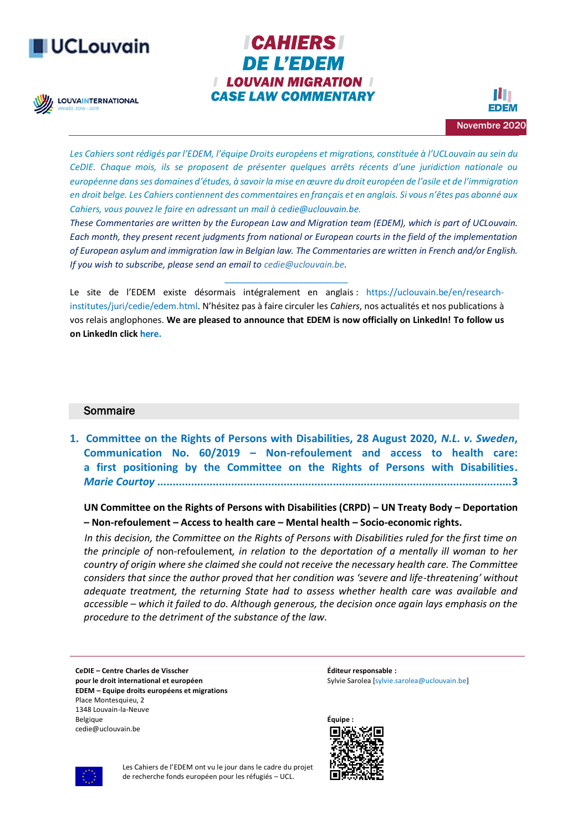# **UCLouvain**

**LOUVAINTERNATIONAL** 





*Les Cahiers sont rédigés par l'[EDEM](http://www.uclouvain.be/423125), l'équipe Droits européens et migrations, constituée à l'UCLouvain au sein du CeDIE. Chaque mois, ils se proposent de présenter quelques arrêts récents d'une juridiction nationale ou européenne dans ses domaines d'études, à savoir la mise en œuvre du droit européen de l'asile et de l'immigration en droit belge. Les Cahiers contiennent des commentaires en français et en anglais. Si vous n'êtes pas abonné aux Cahiers, vous pouvez le faire en adressant un mail [à cedie@uclouvain.be.](mailto:cedie@uclouvain.be)*

*These Commentaries are written by the European Law and Migration team (EDEM), which is part of UCLouvain. Each month, they present recent judgments from national or European courts in the field of the implementation of European asylum and immigration law in Belgian law. The Commentaries are written in French and/or English. If you wish to subscribe, please send an email to [cedie@uclouvain.be.](mailto:cedie@uclouvain.be)*

Le site de l'EDEM existe désormais intégralement en anglais : [https://uclouvain.be/en/research](https://uclouvain.be/en/research-institutes/juri/cedie/edem.html)[institutes/juri/cedie/edem.html](https://uclouvain.be/en/research-institutes/juri/cedie/edem.html). N'hésitez pas à faire circuler les *Cahiers*, nos actualités et nos publications à vos relais anglophones. **We are pleased to announce that EDEM is now officially on LinkedIn! To follow us on LinkedIn clic[k here.](https://www.linkedin.com/company/37572750)** 

*\_\_\_\_\_\_\_\_\_\_\_\_\_\_\_\_\_\_\_\_\_\_\_\_\_*

### Sommaire

**1. [Committee on the Rights of Persons with Disabilities, 28 August 2020,](#page-2-0)** *N.L. v. Sweden***, Communication No. 60/2019 – [Non-refoulement and access to health care:](#page-2-0)  [a first positioning by the Committee on the Rights of Persons with Disabilities.](#page-2-0)** *Marie Courtoy* **[...................................................................................................................3](#page-2-0)**

**UN Committee on the Rights of Persons with Disabilities (CRPD) – UN Treaty Body – Deportation – Non-refoulement – Access to health care – Mental health – Socio-economic rights.**

 *In this decision, the Committee on the Rights of Persons with Disabilities ruled for the first time on the principle of* non-refoulement*, in relation to the deportation of a mentally ill woman to her country of origin where she claimed she could not receive the necessary health care. The Committee considers that since the author proved that her condition was 'severe and life-threatening' without adequate treatment, the returning State had to assess whether health care was available and accessible – which it failed to do. Although generous, the decision once again lays emphasis on the procedure to the detriment of the substance of the law.*

**CeDIE – Centre Charles de Visscher pour le droit international et européen EDEM – Equipe droits européens et migrations** Place Montesquieu, 2 1348 Louvain-la-Neuve Belgique cedie@uclouvain.be

**Éditeur responsable :** Sylvie Sarolea [\[sylvie.sarolea@uclouvain.be\]](mailto:sylvie.sarolea@uclouvain.be)





Les Cahiers de l'EDEM ont vu le jour dans le cadre du projet de recherche fonds européen pour les réfugiés – UCL.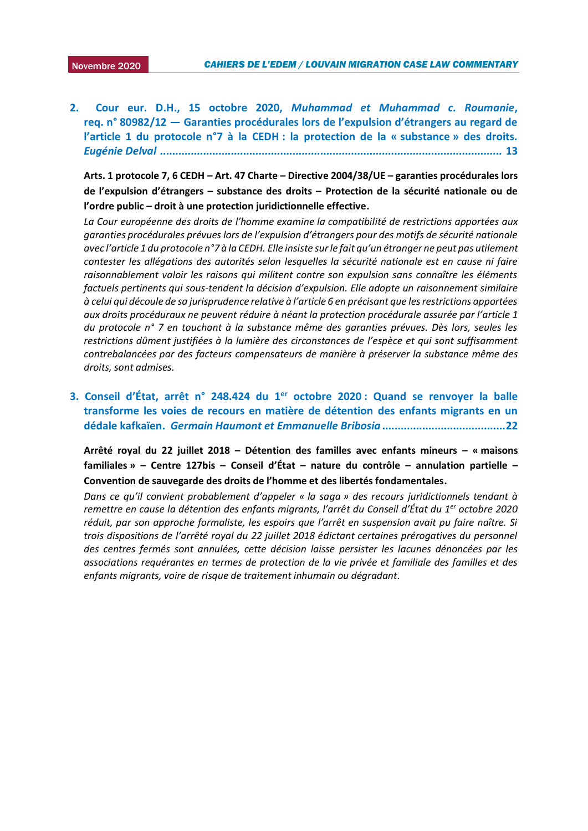2. Cour eur. D.H., 15 octobre 2020, *[Muhammad et Muhammad c. Roumanie](#page-12-0)*, **req. n° 80982/12 — [Garanties procédurales lors de l'expulsion d'étrangers au regard de](#page-12-0)  [l'article 1 du protocole n°7 à la CEDH](#page-12-0) : la protection de la « substance » des droits***. Eugénie Delval [...............................................................................................................](#page-12-0)* **13**

**Arts. 1 protocole 7, 6 CEDH – Art. 47 Charte – Directive 2004/38/UE – garanties procédurales lors de l'expulsion d'étrangers – substance des droits – Protection de la sécurité nationale ou de l'ordre public – droit à une protection juridictionnelle effective.**

*La Cour européenne des droits de l'homme examine la compatibilité de restrictions apportées aux garanties procédurales prévues lors de l'expulsion d'étrangers pour des motifs de sécurité nationale avec l'article 1 du protocole n°7 à la CEDH. Elle insiste sur le fait qu'un étranger ne peut pas utilement contester les allégations des autorités selon lesquelles la sécurité nationale est en cause ni faire raisonnablement valoir les raisons qui militent contre son expulsion sans connaître les éléments factuels pertinents qui sous-tendent la décision d'expulsion. Elle adopte un raisonnement similaire à celui qui découle de sa jurisprudence relative à l'article 6 en précisant que les restrictions apportées aux droits procéduraux ne peuvent réduire à néant la protection procédurale assurée par l'article 1 du protocole n° 7 en touchant à la substance même des garanties prévues. Dès lors, seules les restrictions dûment justifiées à la lumière des circonstances de l'espèce et qui sont suffisamment contrebalancées par des facteurs compensateurs de manière à préserver la substance même des droits, sont admises.*

**3. Conseil d'État, arrêt n° 248.424 du 1er octobre 2020 [: Quand se renvoyer la balle](#page-21-0)  [transforme les voies de recours en matière de détention](#page-21-0) des enfants migrants en un dédale kafkaïen.** *[Germain Haumont et Emmanuelle Bribosia](#page-21-0)***........................................22**

**Arrêté royal du 22 juillet 2018 – Détention des familles avec enfants mineurs – « maisons familiales » – Centre 127bis – Conseil d'État – nature du contrôle – annulation partielle – Convention de sauvegarde des droits de l'homme et des libertés fondamentales.**

*Dans ce qu'il convient probablement d'appeler « la saga » des recours juridictionnels tendant à remettre en cause la détention des enfants migrants, l'arrêt du Conseil d'État du 1er octobre 2020 réduit, par son approche formaliste, les espoirs que l'arrêt en suspension avait pu faire naître. Si trois dispositions de l'arrêté royal du 22 juillet 2018 édictant certaines prérogatives du personnel des centres fermés sont annulées, cette décision laisse persister les lacunes dénoncées par les associations requérantes en termes de protection de la vie privée et familiale des familles et des enfants migrants, voire de risque de traitement inhumain ou dégradant.*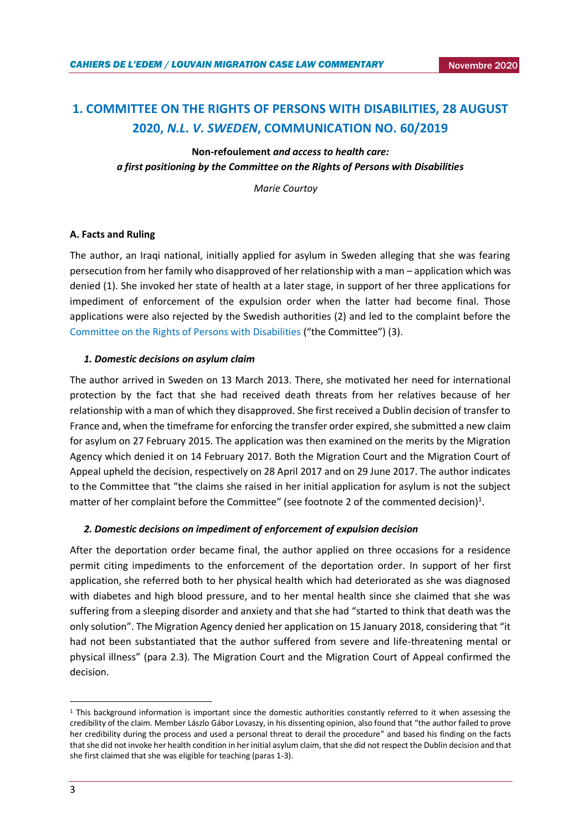# <span id="page-2-0"></span>**1. COMMITTEE ON THE RIGHTS OF PERSONS WITH DISABILITIES, 28 AUGUST 2020,** *N.L. V. SWEDEN***, COMMUNICATION NO. 60/2019**

**Non-refoulement** *and access to health care: a first positioning by the Committee on the Rights of Persons with Disabilities*

 *Marie Courtoy*

### **A. Facts and Ruling**

The author, an Iraqi national, initially applied for asylum in Sweden alleging that she was fearing persecution from her family who disapproved of her relationship with a man – application which was denied (1). She invoked her state of health at a later stage, in support of her three applications for impediment of enforcement of the expulsion order when the latter had become final. Those applications were also rejected by the Swedish authorities (2) and led to the complaint before the [Committee on the Rights of Persons with Disabilities](https://www.ohchr.org/en/hrbodies/crpd/pages/crpdindex.aspx) ("the Committee") (3).

### *1. Domestic decisions on asylum claim*

The author arrived in Sweden on 13 March 2013. There, she motivated her need for international protection by the fact that she had received death threats from her relatives because of her relationship with a man of which they disapproved. She first received a Dublin decision of transfer to France and, when the timeframe for enforcing the transfer order expired, she submitted a new claim for asylum on 27 February 2015. The application was then examined on the merits by the Migration Agency which denied it on 14 February 2017. Both the Migration Court and the Migration Court of Appeal upheld the decision, respectively on 28 April 2017 and on 29 June 2017. The author indicates to the Committee that "the claims she raised in her initial application for asylum is not the subject matter of her complaint before the Committee" (see footnote 2 of the commented decision)<sup>1</sup>.

### *2. Domestic decisions on impediment of enforcement of expulsion decision*

After the deportation order became final, the author applied on three occasions for a residence permit citing impediments to the enforcement of the deportation order. In support of her first application, she referred both to her physical health which had deteriorated as she was diagnosed with diabetes and high blood pressure, and to her mental health since she claimed that she was suffering from a sleeping disorder and anxiety and that she had "started to think that death was the only solution". The Migration Agency denied her application on 15 January 2018, considering that "it had not been substantiated that the author suffered from severe and life-threatening mental or physical illness" (para 2.3). The Migration Court and the Migration Court of Appeal confirmed the decision.

**.** 

<sup>1</sup> This background information is important since the domestic authorities constantly referred to it when assessing the credibility of the claim. Member Lászlo Gábor Lovaszy, in his dissenting opinion, also found that "the author failed to prove her credibility during the process and used a personal threat to derail the procedure" and based his finding on the facts that she did not invoke her health condition in her initial asylum claim, that she did not respect the Dublin decision and that she first claimed that she was eligible for teaching (paras 1-3).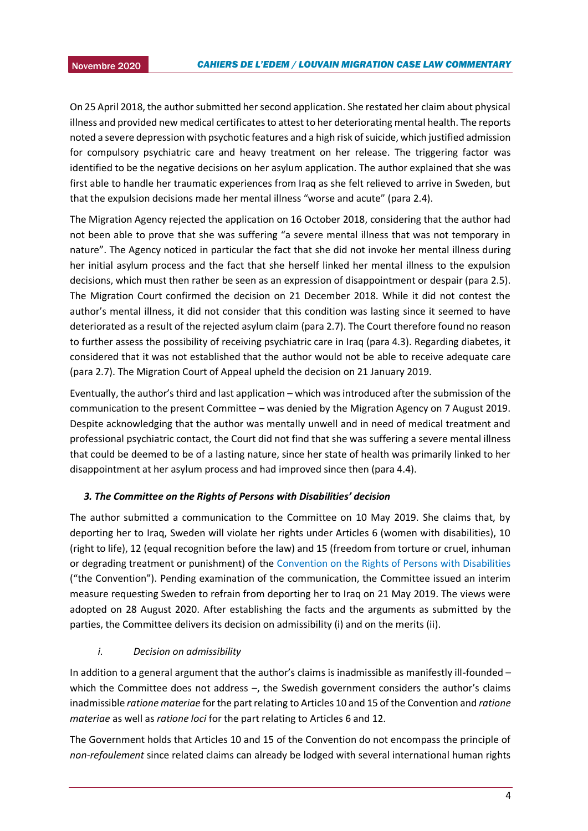On 25 April 2018, the author submitted her second application. She restated her claim about physical 2015 illness and provided new medical certificates to attest to her deteriorating mental health. The reports noted a severe depression with psychotic features and a high risk of suicide, which justified admission for compulsory psychiatric care and heavy treatment on her release. The triggering factor was identified to be the negative decisions on her asylum application. The author explained that she was first able to handle her traumatic experiences from Iraq as she felt relieved to arrive in Sweden, but that the expulsion decisions made her mental illness "worse and acute" (para 2.4).

The Migration Agency rejected the application on 16 October 2018, considering that the author had not been able to prove that she was suffering "a severe mental illness that was not temporary in nature". The Agency noticed in particular the fact that she did not invoke her mental illness during her initial asylum process and the fact that she herself linked her mental illness to the expulsion decisions, which must then rather be seen as an expression of disappointment or despair (para 2.5). The Migration Court confirmed the decision on 21 December 2018. While it did not contest the author's mental illness, it did not consider that this condition was lasting since it seemed to have deteriorated as a result of the rejected asylum claim (para 2.7). The Court therefore found no reason to further assess the possibility of receiving psychiatric care in Iraq (para 4.3). Regarding diabetes, it considered that it was not established that the author would not be able to receive adequate care (para 2.7). The Migration Court of Appeal upheld the decision on 21 January 2019.

Eventually, the author's third and last application – which was introduced after the submission of the communication to the present Committee – was denied by the Migration Agency on 7 August 2019. Despite acknowledging that the author was mentally unwell and in need of medical treatment and professional psychiatric contact, the Court did not find that she was suffering a severe mental illness that could be deemed to be of a lasting nature, since her state of health was primarily linked to her disappointment at her asylum process and had improved since then (para 4.4).

### *3. The Committee on the Rights of Persons with Disabilities' decision*

The author submitted a communication to the Committee on 10 May 2019. She claims that, by deporting her to Iraq, Sweden will violate her rights under Articles 6 (women with disabilities), 10 (right to life), 12 (equal recognition before the law) and 15 (freedom from torture or cruel, inhuman or degrading treatment or punishment) of the [Convention on the Rights of Persons with Disabilities](https://www.ohchr.org/en/hrbodies/crpd/pages/conventionrightspersonswithdisabilities.aspx) ("the Convention"). Pending examination of the communication, the Committee issued an interim measure requesting Sweden to refrain from deporting her to Iraq on 21 May 2019. The views were adopted on 28 August 2020. After establishing the facts and the arguments as submitted by the parties, the Committee delivers its decision on admissibility (i) and on the merits (ii).

### *i. Decision on admissibility*

In addition to a general argument that the author's claims is inadmissible as manifestly ill-founded – which the Committee does not address –, the Swedish government considers the author's claims inadmissible *ratione materiae* for the part relating to Articles 10 and 15 of the Convention and *ratione materiae* as well as *ratione loci* for the part relating to Articles 6 and 12.

The Government holds that Articles 10 and 15 of the Convention do not encompass the principle of *non-refoulement* since related claims can already be lodged with several international human rights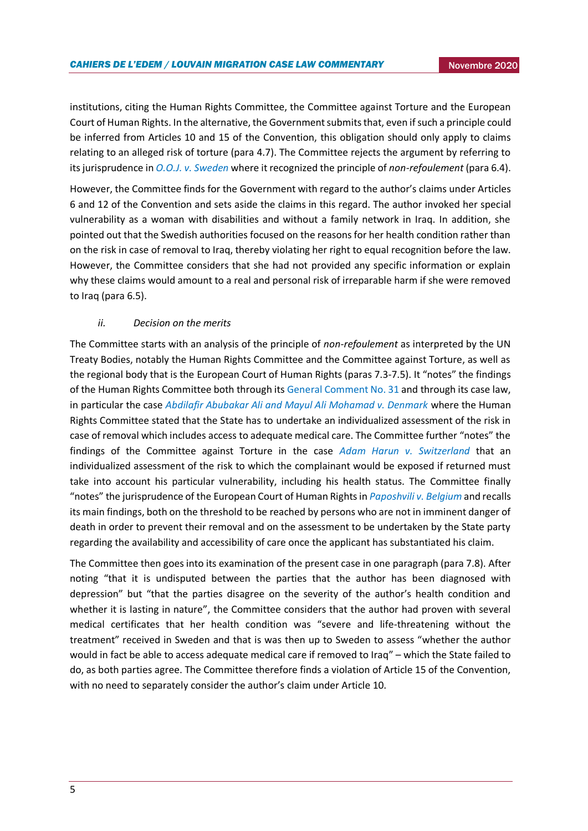institutions, citing the Human Rights Committee, the Committee against Torture and the European Court of Human Rights. In the alternative, the Government submits that, even if such a principle could be inferred from Articles 10 and 15 of the Convention, this obligation should only apply to claims relating to an alleged risk of torture (para 4.7). The Committee rejects the argument by referring to its jurisprudence in *[O.O.J. v. Sweden](https://tbinternet.ohchr.org/_layouts/15/treatybodyexternal/Download.aspx?symbolno=CRPD%2fC%2f18%2fD%2f28%2f2015&Lang=en)* where it recognized the principle of *non-refoulement* (para 6.4).

However, the Committee finds for the Government with regard to the author's claims under Articles 6 and 12 of the Convention and sets aside the claims in this regard. The author invoked her special vulnerability as a woman with disabilities and without a family network in Iraq. In addition, she pointed out that the Swedish authorities focused on the reasons for her health condition rather than on the risk in case of removal to Iraq, thereby violating her right to equal recognition before the law. However, the Committee considers that she had not provided any specific information or explain why these claims would amount to a real and personal risk of irreparable harm if she were removed to Iraq (para 6.5).

### *ii. Decision on the merits*

The Committee starts with an analysis of the principle of *non-refoulement* as interpreted by the UN Treaty Bodies, notably the Human Rights Committee and the Committee against Torture, as well as the regional body that is the European Court of Human Rights (paras 7.3-7.5). It "notes" the findings of the Human Rights Committee both through its [General Comment No. 31](https://www.refworld.org/docid/478b26ae2.html) and through its case law, in particular the case *[Abdilafir Abubakar Ali and Mayul Ali Mohamad v. Denmark](https://tbinternet.ohchr.org/_layouts/15/treatybodyexternal/Download.aspx?symbolno=CCPR%2fC%2f116%2fD%2f2409%2f2014&Lang=en)* where the Human Rights Committee stated that the State has to undertake an individualized assessment of the risk in case of removal which includes access to adequate medical care. The Committee further "notes" the findings of the Committee against Torture in the case *[Adam Harun v. Switzerland](https://tbinternet.ohchr.org/_layouts/15/treatybodyexternal/Download.aspx?symbolno=CAT%2fC%2f65%2fD%2f758%2f2016&Lang=en)* that an individualized assessment of the risk to which the complainant would be exposed if returned must take into account his particular vulnerability, including his health status. The Committee finally "notes" the jurisprudence of the European Court of Human Rights in *[Paposhvili v. Belgium](https://hudoc.echr.coe.int/eng#{%22itemid%22:[%22001-169662%22]})* and recalls its main findings, both on the threshold to be reached by persons who are not in imminent danger of death in order to prevent their removal and on the assessment to be undertaken by the State party regarding the availability and accessibility of care once the applicant has substantiated his claim.

The Committee then goes into its examination of the present case in one paragraph (para 7.8). After noting "that it is undisputed between the parties that the author has been diagnosed with depression" but "that the parties disagree on the severity of the author's health condition and whether it is lasting in nature", the Committee considers that the author had proven with several medical certificates that her health condition was "severe and life-threatening without the treatment" received in Sweden and that is was then up to Sweden to assess "whether the author would in fact be able to access adequate medical care if removed to Iraq" – which the State failed to do, as both parties agree. The Committee therefore finds a violation of Article 15 of the Convention, with no need to separately consider the author's claim under Article 10.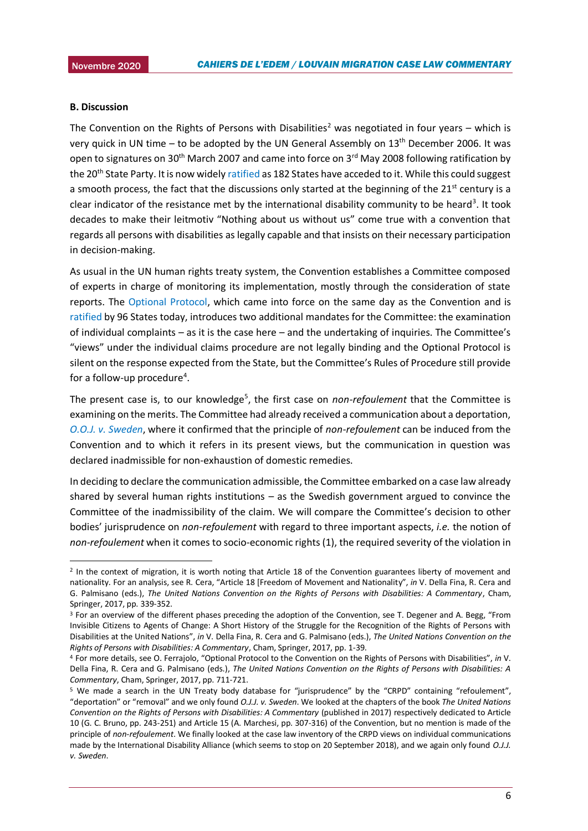#### **B. Discussion**

**.** 

The Convention on the Rights of Persons with Disabilities<sup>2</sup> was negotiated in four years – which is very quick in UN time – to be adopted by the UN General Assembly on 13th December 2006. It was open to signatures on 30<sup>th</sup> March 2007 and came into force on 3<sup>rd</sup> May 2008 following ratification by the 20<sup>th</sup> State Party. It is now widel[y ratified](https://treaties.un.org/Pages/ViewDetails.aspx?src=TREATY&mtdsg_no=IV-15&chapter=4&clang=_en) as 182 States have acceded to it. While this could suggest a smooth process, the fact that the discussions only started at the beginning of the 21<sup>st</sup> century is a clear indicator of the resistance met by the international disability community to be heard<sup>3</sup>. It took decades to make their leitmotiv "Nothing about us without us" come true with a convention that regards all persons with disabilities as legally capable and that insists on their necessary participation in decision-making.

As usual in the UN human rights treaty system, the Convention establishes a Committee composed of experts in charge of monitoring its implementation, mostly through the consideration of state reports. The [Optional Protocol,](https://www.ohchr.org/EN/HRBodies/CRPD/Pages/OptionalProtocolRightsPersonsWithDisabilities.aspx) which came into force on the same day as the Convention and is [ratified](https://treaties.un.org/Pages/ViewDetails.aspx?src=TREATY&mtdsg_no=IV-15-a&chapter=4&clang=_en) by 96 States today, introduces two additional mandates for the Committee: the examination of individual complaints – as it is the case here – and the undertaking of inquiries. The Committee's "views" under the individual claims procedure are not legally binding and the Optional Protocol is silent on the response expected from the State, but the Committee's Rules of Procedure still provide for a follow-up procedure<sup>4</sup>.

The present case is, to our knowledge<sup>5</sup>, the first case on *non-refoulement* that the Committee is examining on the merits. The Committee had already received a communication about a deportation, *[O.O.J. v. Sweden](https://tbinternet.ohchr.org/_layouts/15/treatybodyexternal/Download.aspx?symbolno=CRPD%2fC%2f18%2fD%2f28%2f2015&Lang=en)*, where it confirmed that the principle of *non-refoulement* can be induced from the Convention and to which it refers in its present views, but the communication in question was declared inadmissible for non-exhaustion of domestic remedies.

In deciding to declare the communication admissible, the Committee embarked on a case law already shared by several human rights institutions – as the Swedish government argued to convince the Committee of the inadmissibility of the claim. We will compare the Committee's decision to other bodies' jurisprudence on *non-refoulement* with regard to three important aspects, *i.e.* the notion of *non-refoulement* when it comes to socio-economic rights (1), the required severity of the violation in

<sup>2</sup> In the context of migration, it is worth noting that Article 18 of the Convention guarantees liberty of movement and nationality. For an analysis, see R. Cera, "Article 18 [Freedom of Movement and Nationality", *in* V. Della Fina, R. Cera and G. Palmisano (eds.), *The United Nations Convention on the Rights of Persons with Disabilities: A Commentary*, Cham, Springer, 2017, pp. 339-352.

<sup>&</sup>lt;sup>3</sup> For an overview of the different phases preceding the adoption of the Convention, see T. Degener and A. Begg, "From Invisible Citizens to Agents of Change: A Short History of the Struggle for the Recognition of the Rights of Persons with Disabilities at the United Nations", *in* V. Della Fina, R. Cera and G. Palmisano (eds.), *The United Nations Convention on the Rights of Persons with Disabilities: A Commentary*, Cham, Springer, 2017, pp. 1-39.

<sup>4</sup> For more details, see O. Ferrajolo, "Optional Protocol to the Convention on the Rights of Persons with Disabilities", *in* V. Della Fina, R. Cera and G. Palmisano (eds.), *The United Nations Convention on the Rights of Persons with Disabilities: A Commentary*, Cham, Springer, 2017, pp. 711-721.

<sup>5</sup> We made a search in the UN Treaty body database for "jurisprudence" by the "CRPD" containing "refoulement", "deportation" or "removal" and we only found *O.J.J. v. Sweden*. We looked at the chapters of the book *The United Nations Convention on the Rights of Persons with Disabilities: A Commentary* (published in 2017) respectively dedicated to Article 10 (G. C. Bruno, pp. 243-251) and Article 15 (A. Marchesi, pp. 307-316) of the Convention, but no mention is made of the principle of *non-refoulement*. We finally looked at the case law inventory of the CRPD views on individual communications made by the International Disability Alliance (which seems to stop on 20 September 2018), and we again only found *O.J.J. v. Sweden*.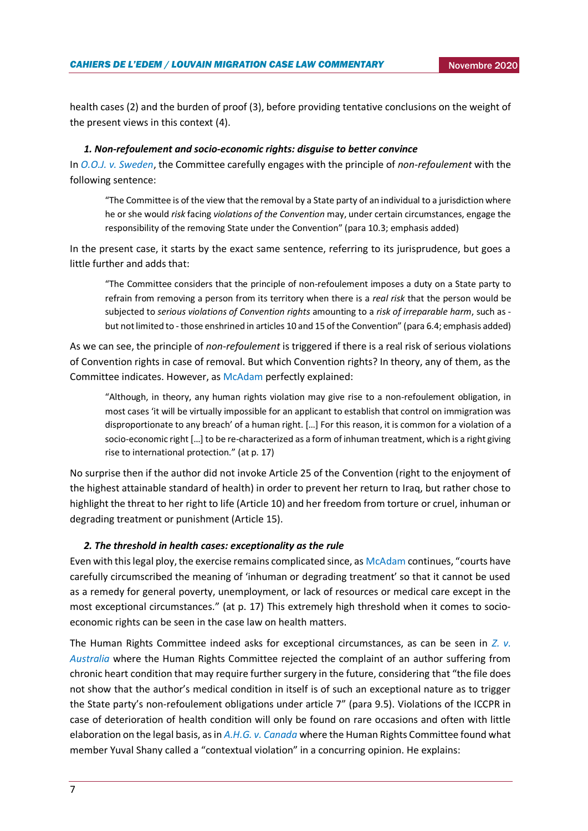health cases (2) and the burden of proof (3), before providing tentative conclusions on the weight of the present views in this context (4).

### *1. Non-refoulement and socio-economic rights: disguise to better convince*

In *[O.O.J. v. Sweden](https://tbinternet.ohchr.org/_layouts/15/treatybodyexternal/Download.aspx?symbolno=CRPD%2fC%2f18%2fD%2f28%2f2015&Lang=en)*, the Committee carefully engages with the principle of *non-refoulement* with the following sentence:

"The Committee is of the view that the removal by a State party of an individual to a jurisdiction where he or she would *risk* facing *violations of the Convention* may, under certain circumstances, engage the responsibility of the removing State under the Convention" (para 10.3; emphasis added)

In the present case, it starts by the exact same sentence, referring to its jurisprudence, but goes a little further and adds that:

"The Committee considers that the principle of non-refoulement imposes a duty on a State party to refrain from removing a person from its territory when there is a *real risk* that the person would be subjected to *serious violations of Convention rights* amounting to a *risk of irreparable harm*, such as but not limited to - those enshrined in articles 10 and 15 of the Convention" (para 6.4; emphasis added)

As we can see, the principle of *non-refoulement* is triggered if there is a real risk of serious violations of Convention rights in case of removal. But which Convention rights? In theory, any of them, as the Committee indicates. However, as [McAdam](https://www.unhcr.org/4dff16e99.pdf) perfectly explained:

"Although, in theory, any human rights violation may give rise to a non-refoulement obligation, in most cases 'it will be virtually impossible for an applicant to establish that control on immigration was disproportionate to any breach' of a human right. […] For this reason, it is common for a violation of a socio-economic right […] to be re-characterized as a form of inhuman treatment, which is a right giving rise to international protection." (at p. 17)

No surprise then if the author did not invoke Article 25 of the Convention (right to the enjoyment of the highest attainable standard of health) in order to prevent her return to Iraq, but rather chose to highlight the threat to her right to life (Article 10) and her freedom from torture or cruel, inhuman or degrading treatment or punishment (Article 15).

### *2. The threshold in health cases: exceptionality as the rule*

Even with this legal ploy, the exercise remains complicated since, a[s McAdam](https://www.unhcr.org/4dff16e99.pdf) continues, "courts have carefully circumscribed the meaning of 'inhuman or degrading treatment' so that it cannot be used as a remedy for general poverty, unemployment, or lack of resources or medical care except in the most exceptional circumstances." (at p. 17) This extremely high threshold when it comes to socioeconomic rights can be seen in the case law on health matters.

The Human Rights Committee indeed asks for exceptional circumstances, as can be seen in *[Z. v.](https://tbinternet.ohchr.org/_layouts/15/treatybodyexternal/Download.aspx?symbolno=CCPR/C/111/D/2049/2011&Lang=en)  [Australia](https://tbinternet.ohchr.org/_layouts/15/treatybodyexternal/Download.aspx?symbolno=CCPR/C/111/D/2049/2011&Lang=en)* where the Human Rights Committee rejected the complaint of an author suffering from chronic heart condition that may require further surgery in the future, considering that "the file does not show that the author's medical condition in itself is of such an exceptional nature as to trigger the State party's non-refoulement obligations under article 7" (para 9.5). Violations of the ICCPR in case of deterioration of health condition will only be found on rare occasions and often with little elaboration on the legal basis, as in *[A.H.G. v. Canada](https://tbinternet.ohchr.org/_layouts/15/treatybodyexternal/Download.aspx?symbolno=CCPR/C/113/D/2091/2011&Lang=en)* where the Human Rights Committee found what member Yuval Shany called a "contextual violation" in a concurring opinion. He explains: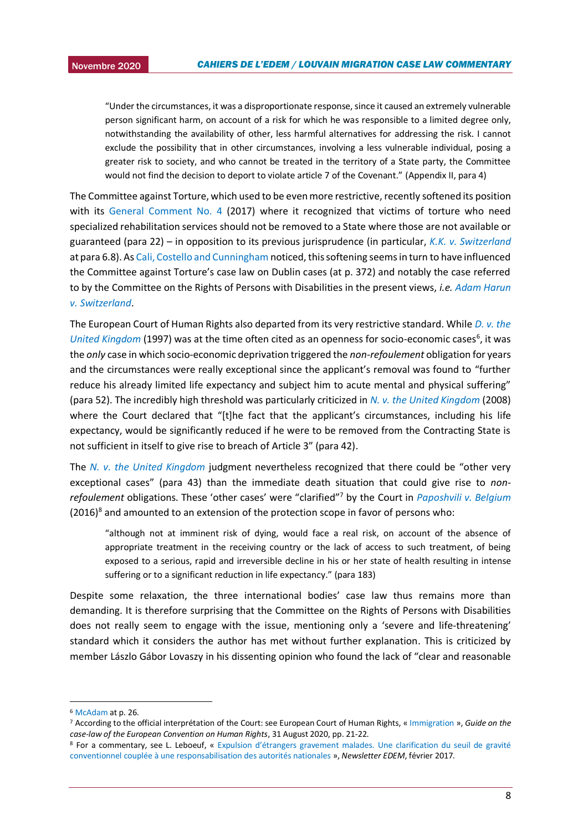2015 "Under the circumstances, it was a disproportionate response, since it caused an extremely vulnerable person significant harm, on account of a risk for which he was responsible to a limited degree only, notwithstanding the availability of other, less harmful alternatives for addressing the risk. I cannot exclude the possibility that in other circumstances, involving a less vulnerable individual, posing a greater risk to society, and who cannot be treated in the territory of a State party, the Committee would not find the decision to deport to violate article 7 of the Covenant." (Appendix II, para 4)

The Committee against Torture, which used to be even more restrictive, recently softened its position with its [General Comment No. 4](https://www.ohchr.org/Documents/HRBodies/CAT/CAT-C-GC-4_EN.pdf) (2017) where it recognized that victims of torture who need specialized rehabilitation services should not be removed to a State where those are not available or guaranteed (para 22) – in opposition to its previous jurisprudence (in particular, *[K.K. v. Switzerland](https://tbinternet.ohchr.org/_layouts/15/treatybodyexternal/Download.aspx?symbolno=CAT%2fC%2f31%2fD%2f186%2f2001&Lang=en)* at para 6.8). A[s Cali, Costello and Cunningham](https://www.researchgate.net/publication/340509792_Hard_Protection_through_Soft_Courts_Non-Refoulement_before_the_United_Nations_Treaty_Bodies) noticed, this softening seems in turn to have influenced the Committee against Torture's case law on Dublin cases (at p. 372) and notably the case referred to by the Committee on the Rights of Persons with Disabilities in the present views, *i.e. [Adam Harun](https://tbinternet.ohchr.org/_layouts/15/treatybodyexternal/Download.aspx?symbolno=CAT%2fC%2f65%2fD%2f758%2f2016&Lang=en)  [v. Switzerland](https://tbinternet.ohchr.org/_layouts/15/treatybodyexternal/Download.aspx?symbolno=CAT%2fC%2f65%2fD%2f758%2f2016&Lang=en)*.

The European Court of Human Rights also departed from its very restrictive standard. While *[D. v. the](https://hudoc.echr.coe.int/eng#{%22itemid%22:[%22001-58035%22]})*  [United Kingdom](https://hudoc.echr.coe.int/eng#{%22itemid%22:[%22001-58035%22]}) (1997) was at the time often cited as an openness for socio-economic cases<sup>6</sup>, it was the *only* case in which socio-economic deprivation triggered the *non-refoulement* obligation for years and the circumstances were really exceptional since the applicant's removal was found to "further reduce his already limited life expectancy and subject him to acute mental and physical suffering" (para 52). The incredibly high threshold was particularly criticized in *[N. v. the United Kingdom](https://hudoc.echr.coe.int/eng#{%22itemid%22:[%22001-86490%22]})* (2008) where the Court declared that "[t]he fact that the applicant's circumstances, including his life expectancy, would be significantly reduced if he were to be removed from the Contracting State is not sufficient in itself to give rise to breach of Article 3" (para 42).

The *[N. v. the United Kingdom](https://hudoc.echr.coe.int/eng#{%22itemid%22:[%22001-86490%22]})* judgment nevertheless recognized that there could be "other very exceptional cases" (para 43) than the immediate death situation that could give rise to *nonrefoulement* obligations. These 'other cases' were "clarified"<sup>7</sup> by the Court in *[Paposhvili v. Belgium](https://hudoc.echr.coe.int/eng#{%22itemid%22:[%22001-169662%22]})*  $(2016)^8$  and amounted to an extension of the protection scope in favor of persons who:

"although not at imminent risk of dying, would face a real risk, on account of the absence of appropriate treatment in the receiving country or the lack of access to such treatment, of being exposed to a serious, rapid and irreversible decline in his or her state of health resulting in intense suffering or to a significant reduction in life expectancy." (para 183)

Despite some relaxation, the three international bodies' case law thus remains more than demanding. It is therefore surprising that the Committee on the Rights of Persons with Disabilities does not really seem to engage with the issue, mentioning only a 'severe and life-threatening' standard which it considers the author has met without further explanation. This is criticized by member Lászlo Gábor Lovaszy in his dissenting opinion who found the lack of "clear and reasonable

**.** 

<sup>6</sup> [McAdam](https://www.unhcr.org/4dff16e99.pdf) at p. 26.

<sup>7</sup> According to the official interprétation of the Court: see European Court of Human Rights, « [Immigration](https://echr.coe.int/Documents/Guide_Immigration_ENG.pdf) », *Guide on the case-law of the European Convention on Human Rights*, 31 August 2020, pp. 21-22.

<sup>8</sup> For a commentary, see L. Leboeuf, « [Expulsion d'étrangers gravement malades.](https://uclouvain.be/fr/instituts-recherche/juri/cedie/actualites/cour-eur-d-h-grande-chambre-13-decembre-2016-paposhvili-c-belgique-req-n-41738-10.html) Une clarification du seuil de gravité [conventionnel couplée à une responsabilisation des autorités nationales](https://uclouvain.be/fr/instituts-recherche/juri/cedie/actualites/cour-eur-d-h-grande-chambre-13-decembre-2016-paposhvili-c-belgique-req-n-41738-10.html) », *Newsletter EDEM*, février 2017.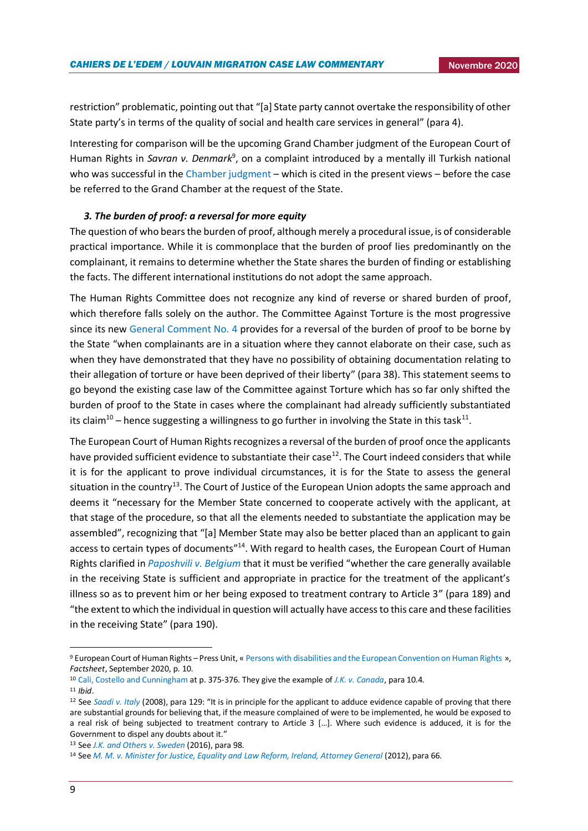restriction" problematic, pointing out that "[a] State party cannot overtake the responsibility of other State party's in terms of the quality of social and health care services in general" (para 4).

Interesting for comparison will be the upcoming Grand Chamber judgment of the European Court of Human Rights in Savran v. Denmark<sup>9</sup>, on a complaint introduced by a mentally ill Turkish national who was successful in the [Chamber judgment](https://hudoc.echr.coe.int/eng#{%22itemid%22:[%22001-196152%22]}) – which is cited in the present views – before the case be referred to the Grand Chamber at the request of the State.

### *3. The burden of proof: a reversal for more equity*

The question of who bears the burden of proof, although merely a procedural issue, is of considerable practical importance. While it is commonplace that the burden of proof lies predominantly on the complainant, it remains to determine whether the State shares the burden of finding or establishing the facts. The different international institutions do not adopt the same approach.

The Human Rights Committee does not recognize any kind of reverse or shared burden of proof, which therefore falls solely on the author. The Committee Against Torture is the most progressive since its new [General Comment No. 4](https://www.ohchr.org/Documents/HRBodies/CAT/CAT-C-GC-4_EN.pdf) provides for a reversal of the burden of proof to be borne by the State "when complainants are in a situation where they cannot elaborate on their case, such as when they have demonstrated that they have no possibility of obtaining documentation relating to their allegation of torture or have been deprived of their liberty" (para 38). This statement seems to go beyond the existing case law of the Committee against Torture which has so far only shifted the burden of proof to the State in cases where the complainant had already sufficiently substantiated its claim<sup>10</sup> – hence suggesting a willingness to go further in involving the State in this task<sup>11</sup>.

The European Court of Human Rights recognizes a reversal of the burden of proof once the applicants have provided sufficient evidence to substantiate their case<sup>12</sup>. The Court indeed considers that while it is for the applicant to prove individual circumstances, it is for the State to assess the general situation in the country<sup>13</sup>. The Court of Justice of the European Union adopts the same approach and deems it "necessary for the Member State concerned to cooperate actively with the applicant, at that stage of the procedure, so that all the elements needed to substantiate the application may be assembled", recognizing that "[a] Member State may also be better placed than an applicant to gain access to certain types of documents"<sup>14</sup>. With regard to health cases, the European Court of Human Rights clarified in *[Paposhvili v. Belgium](https://hudoc.echr.coe.int/eng#{%22itemid%22:[%22001-169662%22]})* that it must be verified "whether the care generally available in the receiving State is sufficient and appropriate in practice for the treatment of the applicant's illness so as to prevent him or her being exposed to treatment contrary to Article 3" (para 189) and "the extent to which the individual in question will actually have access to this care and these facilities in the receiving State" (para 190).

<sup>9</sup> European Court of Human Rights – Press Unit, « [Persons with disabilities and the European Convention on Human Rights](https://www.echr.coe.int/Documents/FS_Disabled_ENG.pdf) », *Factsheet*, September 2020, p. 10.

<sup>10</sup> [Cali, Costello and Cunningham](https://www.researchgate.net/publication/340509792_Hard_Protection_through_Soft_Courts_Non-Refoulement_before_the_United_Nations_Treaty_Bodies) at p. 375-376. They give the example of *[J.K. v. Canada](https://juris.ohchr.org/Search/Details/2064)*, para 10.4.

<sup>11</sup> *Ibid*.

<sup>12</sup> See *[Saadi v. Italy](https://hudoc.echr.coe.int/eng#{%22itemid%22:[%22001-85276%22]})* (2008), para 129: "It is in principle for the applicant to adduce evidence capable of proving that there are substantial grounds for believing that, if the measure complained of were to be implemented, he would be exposed to a real risk of being subjected to treatment contrary to Article 3 […]. Where such evidence is adduced, it is for the Government to dispel any doubts about it."

<sup>13</sup> See *[J.K. and Others v. Sweden](https://hudoc.echr.coe.int/eng#{%22itemid%22:[%22001-165442%22]})* (2016), para 98.

<sup>14</sup> See *[M. M. v. Minister for Justice, Equality and Law Reform, Ireland, Attorney General](http://curia.europa.eu/juris/document/document.jsf?text=&docid=130241&pageIndex=0&doclang=en&mode=lst&dir=&occ=first&part=1&cid=15434285)* (2012), para 66.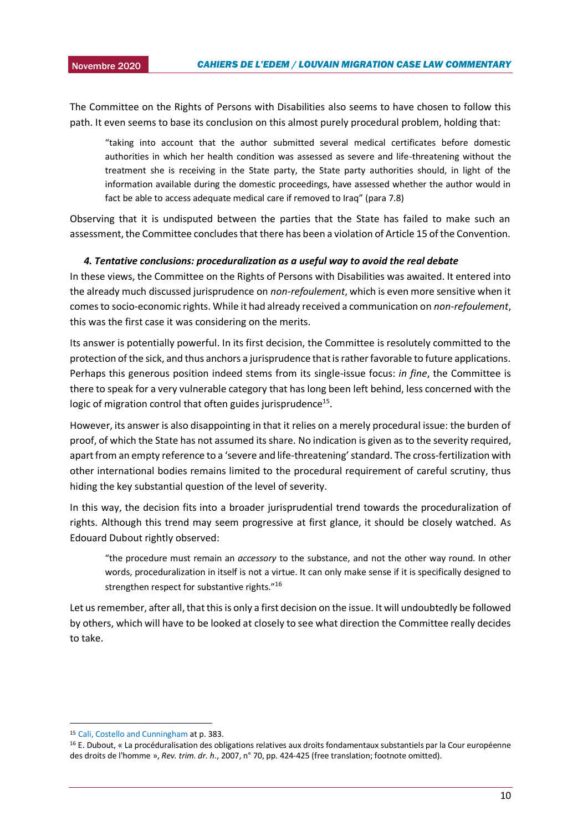The Committee on the Rights of Persons with Disabilities also seems to have chosen to follow this path. It even seems to base its conclusion on this almost purely procedural problem, holding that:

"taking into account that the author submitted several medical certificates before domestic authorities in which her health condition was assessed as severe and life-threatening without the treatment she is receiving in the State party, the State party authorities should, in light of the information available during the domestic proceedings, have assessed whether the author would in fact be able to access adequate medical care if removed to Iraq" (para 7.8)

Observing that it is undisputed between the parties that the State has failed to make such an assessment, the Committee concludes that there has been a violation of Article 15 of the Convention.

### *4. Tentative conclusions: proceduralization as a useful way to avoid the real debate*

In these views, the Committee on the Rights of Persons with Disabilities was awaited. It entered into the already much discussed jurisprudence on *non-refoulement*, which is even more sensitive when it comes to socio-economic rights. While it had already received a communication on *non-refoulement*, this was the first case it was considering on the merits.

Its answer is potentially powerful. In its first decision, the Committee is resolutely committed to the protection of the sick, and thus anchors a jurisprudence that is rather favorable to future applications. Perhaps this generous position indeed stems from its single-issue focus: *in fine*, the Committee is there to speak for a very vulnerable category that has long been left behind, less concerned with the logic of migration control that often guides jurisprudence<sup>15</sup>.

However, its answer is also disappointing in that it relies on a merely procedural issue: the burden of proof, of which the State has not assumed its share. No indication is given as to the severity required, apart from an empty reference to a 'severe and life-threatening' standard. The cross-fertilization with other international bodies remains limited to the procedural requirement of careful scrutiny, thus hiding the key substantial question of the level of severity.

In this way, the decision fits into a broader jurisprudential trend towards the proceduralization of rights. Although this trend may seem progressive at first glance, it should be closely watched. As Edouard Dubout rightly observed:

"the procedure must remain an *accessory* to the substance, and not the other way round. In other words, proceduralization in itself is not a virtue. It can only make sense if it is specifically designed to strengthen respect for substantive rights."<sup>16</sup>

Let us remember, after all, that this is only a first decision on the issue. It will undoubtedly be followed by others, which will have to be looked at closely to see what direction the Committee really decides to take.

**.** 

<sup>15</sup> [Cali, Costello and Cunningham](https://www.researchgate.net/publication/340509792_Hard_Protection_through_Soft_Courts_Non-Refoulement_before_the_United_Nations_Treaty_Bodies) at p. 383.

<sup>16</sup> E. Dubout, « La procéduralisation des obligations relatives aux droits fondamentaux substantiels par la Cour européenne des droits de l'homme », *Rev. trim. dr. h*., 2007, n° 70, pp. 424-425 (free translation; footnote omitted).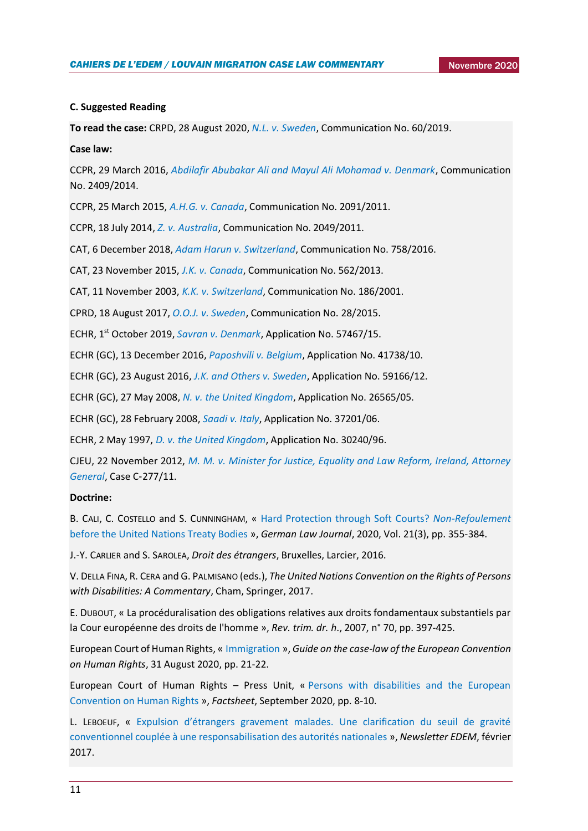### **C. Suggested Reading**

**To read the case:** CRPD, 28 August 2020, *[N.L. v. Sweden](https://tbinternet.ohchr.org/_layouts/15/treatybodyexternal/Download.aspx?symbolno=CRPD%2fC%2f23%2fD%2f60%2f2019&Lang=en)*, Communication No. 60/2019.

### **Case law:**

CCPR, 29 March 2016, *[Abdilafir Abubakar Ali and Mayul Ali Mohamad v. Denmark](https://tbinternet.ohchr.org/_layouts/15/treatybodyexternal/Download.aspx?symbolno=CCPR%2fC%2f116%2fD%2f2409%2f2014&Lang=en)*, Communication No. 2409/2014.

CCPR, 25 March 2015, *[A.H.G. v. Canada](https://tbinternet.ohchr.org/_layouts/15/treatybodyexternal/Download.aspx?symbolno=CCPR/C/113/D/2091/2011&Lang=en)*, Communication No. 2091/2011.

CCPR, 18 July 2014, *[Z. v. Australia](https://tbinternet.ohchr.org/_layouts/15/treatybodyexternal/Download.aspx?symbolno=CCPR/C/111/D/2049/2011&Lang=en)*, Communication No. 2049/2011.

CAT, 6 December 2018, *[Adam Harun v. Switzerland](https://tbinternet.ohchr.org/_layouts/15/treatybodyexternal/Download.aspx?symbolno=CAT%2fC%2f65%2fD%2f758%2f2016&Lang=en)*, Communication No. 758/2016.

CAT, 23 November 2015, *[J.K. v. Canada](https://juris.ohchr.org/Search/Details/2064)*, Communication No. 562/2013.

CAT, 11 November 2003, *[K.K. v. Switzerland](https://tbinternet.ohchr.org/_layouts/15/treatybodyexternal/Download.aspx?symbolno=CAT%2fC%2f31%2fD%2f186%2f2001&Lang=en)*, Communication No. 186/2001.

CPRD, 18 August 2017, *[O.O.J. v. Sweden](https://tbinternet.ohchr.org/_layouts/15/treatybodyexternal/Download.aspx?symbolno=CRPD%2fC%2f18%2fD%2f28%2f2015&Lang=en)*, Communication No. 28/2015.

ECHR, 1st October 2019, *[Savran v. Denmark](https://hudoc.echr.coe.int/eng#{%22itemid%22:[%22001-196152%22]})*, Application No. 57467/15.

ECHR (GC), 13 December 2016, *[Paposhvili v. Belgium](https://hudoc.echr.coe.int/eng#{%22itemid%22:[%22001-169662%22]})*, Application No. 41738/10.

ECHR (GC), 23 August 2016, *[J.K. and Others v. Sweden](https://hudoc.echr.coe.int/eng#{%22itemid%22:[%22001-165442%22]})*, Application No. 59166/12.

ECHR (GC), 27 May 2008, *[N. v. the United Kingdom](https://hudoc.echr.coe.int/eng#{%22itemid%22:[%22001-86490%22]})*, Application No. 26565/05.

ECHR (GC), 28 February 2008, *[Saadi v. Italy](https://hudoc.echr.coe.int/eng#{%22itemid%22:[%22001-85276%22]})*, Application No. 37201/06.

ECHR, 2 May 1997, *[D. v. the United Kingdom](https://hudoc.echr.coe.int/eng#{%22itemid%22:[%22001-58035%22]})*, Application No. 30240/96.

CJEU, 22 November 2012, *[M. M. v. Minister for Justice, Equality and Law Reform, Ireland, Attorney](http://curia.europa.eu/juris/document/document.jsf?text=&docid=130241&pageIndex=0&doclang=en&mode=lst&dir=&occ=first&part=1&cid=15434285)  [General](http://curia.europa.eu/juris/document/document.jsf?text=&docid=130241&pageIndex=0&doclang=en&mode=lst&dir=&occ=first&part=1&cid=15434285)*, Case C‑277/11.

### **Doctrine:**

B. CALI, C. COSTELLO and S. CUNNINGHAM, « [Hard Protection through Soft Courts?](https://www.researchgate.net/publication/340509792_Hard_Protection_through_Soft_Courts_Non-Refoulement_before_the_United_Nations_Treaty_Bodies) *Non-Refoulement* [before the United Nations Treaty Bodies](https://www.researchgate.net/publication/340509792_Hard_Protection_through_Soft_Courts_Non-Refoulement_before_the_United_Nations_Treaty_Bodies) », *German Law Journal*, 2020, Vol. 21(3), pp. 355-384.

J.-Y. CARLIER and S. SAROLEA, *Droit des étrangers*, Bruxelles, Larcier, 2016.

V. DELLA FINA, R. CERA and G. PALMISANO (eds.), *The United Nations Convention on the Rights of Persons with Disabilities: A Commentary*, Cham, Springer, 2017.

E. DUBOUT, « La procéduralisation des obligations relatives aux droits fondamentaux substantiels par la Cour européenne des droits de l'homme », *Rev. trim. dr. h*., 2007, n° 70, pp. 397-425.

European Court of Human Rights, « [Immigration](https://echr.coe.int/Documents/Guide_Immigration_ENG.pdf) », *Guide on the case-law of the European Convention on Human Rights*, 31 August 2020, pp. 21-22.

European Court of Human Rights – Press Unit, « [Persons with disabilities and the European](https://www.echr.coe.int/Documents/FS_Disabled_ENG.pdf)  [Convention on Human Rights](https://www.echr.coe.int/Documents/FS_Disabled_ENG.pdf) », *Factsheet*, September 2020, pp. 8-10.

L. LEBOEUF, « [Expulsion d'étrangers gravement malades. Une clarification du seuil de gravité](https://uclouvain.be/fr/instituts-recherche/juri/cedie/actualites/cour-eur-d-h-grande-chambre-13-decembre-2016-paposhvili-c-belgique-req-n-41738-10.html)  [conventionnel couplée à une responsabilisation des autorités nationales](https://uclouvain.be/fr/instituts-recherche/juri/cedie/actualites/cour-eur-d-h-grande-chambre-13-decembre-2016-paposhvili-c-belgique-req-n-41738-10.html) », *Newsletter EDEM*, février 2017.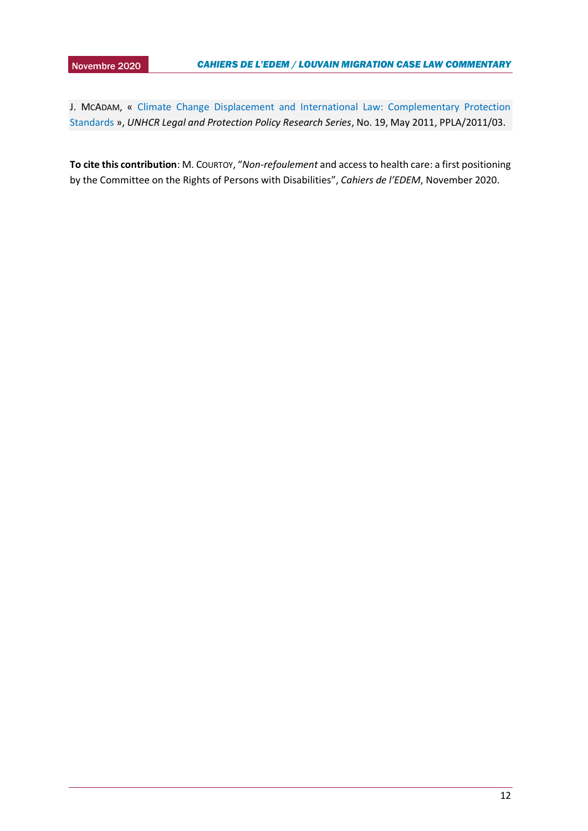J. MCADAM, « Climate Change Displacement and International Law: Complementary Protection [Standards](https://www.unhcr.org/4dff16e99.pdf) », *UNHCR Legal and Protection Policy Research Series*, No. 19, May 2011, PPLA/2011/03.

**To cite this contribution**: M. COURTOY, "*Non-refoulement* and access to health care: a first positioning by the Committee on the Rights of Persons with Disabilities", *Cahiers de l'EDEM*, November 2020.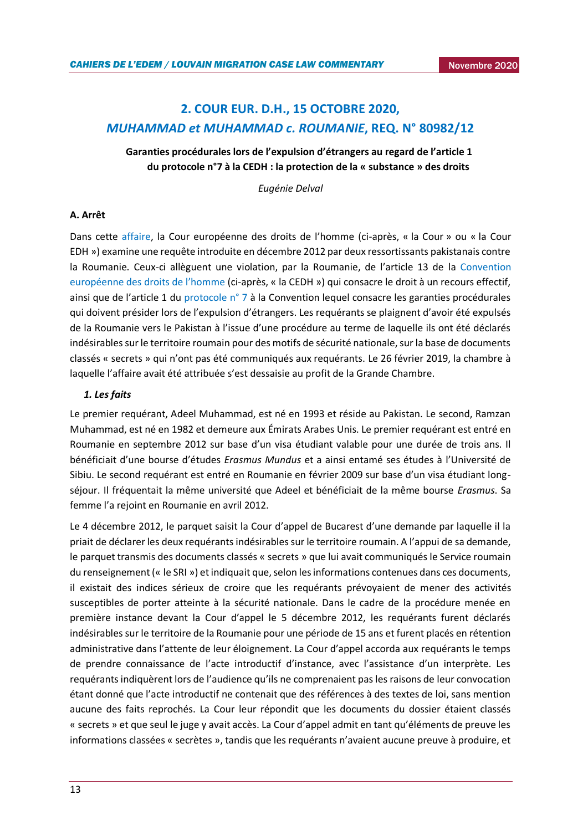## <span id="page-12-0"></span>**2. COUR EUR. D.H., 15 OCTOBRE 2020,**  *MUHAMMAD et MUHAMMAD c. ROUMANIE***, REQ. N° 80982/12**

**Garanties procédurales lors de l'expulsion d'étrangers au regard de l'article 1 du protocole n°7 à la CEDH : la protection de la « substance » des droits** 

*Eugénie Delval*

### **A. Arrêt**

Dans cette [affaire,](https://hudoc.echr.coe.int/fre#{%22fulltext%22:[%22muhammad%22],%22documentcollectionid2%22:[%22GRANDCHAMBER%22,%22CHAMBER%22],%22itemid%22:[%22001-205510%22]}) la Cour européenne des droits de l'homme (ci-après, « la Cour » ou « la Cour EDH ») examine une requête introduite en décembre 2012 par deux ressortissants pakistanais contre la Roumanie. Ceux-ci allèguent une violation, par la Roumanie, de l'article 13 de la Convention [européenne des droits de l'homme](https://www.echr.coe.int/Documents/Convention_FRA.pdf) (ci-après, « la CEDH ») qui consacre le droit à un recours effectif, ainsi que de l'article 1 du [protocole n° 7](https://rm.coe.int/168007a08b) à la Convention lequel consacre les garanties procédurales qui doivent présider lors de l'expulsion d'étrangers. Les requérants se plaignent d'avoir été expulsés de la Roumanie vers le Pakistan à l'issue d'une procédure au terme de laquelle ils ont été déclarés indésirables sur le territoire roumain pour des motifs de sécurité nationale, sur la base de documents classés « secrets » qui n'ont pas été communiqués aux requérants. Le 26 février 2019, la chambre à laquelle l'affaire avait été attribuée s'est dessaisie au profit de la Grande Chambre.

### *1. Les faits*

Le premier requérant, Adeel Muhammad, est né en 1993 et réside au Pakistan. Le second, Ramzan Muhammad, est né en 1982 et demeure aux Émirats Arabes Unis. Le premier requérant est entré en Roumanie en septembre 2012 sur base d'un visa étudiant valable pour une durée de trois ans. Il bénéficiait d'une bourse d'études *Erasmus Mundus* et a ainsi entamé ses études à l'Université de Sibiu. Le second requérant est entré en Roumanie en février 2009 sur base d'un visa étudiant longséjour. Il fréquentait la même université que Adeel et bénéficiait de la même bourse *Erasmus*. Sa femme l'a rejoint en Roumanie en avril 2012.

Le 4 décembre 2012, le parquet saisit la Cour d'appel de Bucarest d'une demande par laquelle il la priait de déclarer les deux requérants indésirables sur le territoire roumain. A l'appui de sa demande, le parquet transmis des documents classés « secrets » que lui avait communiqués le Service roumain du renseignement (« le SRI ») et indiquait que, selon les informations contenues dans ces documents, il existait des indices sérieux de croire que les requérants prévoyaient de mener des activités susceptibles de porter atteinte à la sécurité nationale. Dans le cadre de la procédure menée en première instance devant la Cour d'appel le 5 décembre 2012, les requérants furent déclarés indésirables sur le territoire de la Roumanie pour une période de 15 ans et furent placés en rétention administrative dans l'attente de leur éloignement. La Cour d'appel accorda aux requérants le temps de prendre connaissance de l'acte introductif d'instance, avec l'assistance d'un interprète. Les requérants indiquèrent lors de l'audience qu'ils ne comprenaient pas les raisons de leur convocation étant donné que l'acte introductif ne contenait que des références à des textes de loi, sans mention aucune des faits reprochés. La Cour leur répondit que les documents du dossier étaient classés « secrets » et que seul le juge y avait accès. La Cour d'appel admit en tant qu'éléments de preuve les informations classées « secrètes », tandis que les requérants n'avaient aucune preuve à produire, et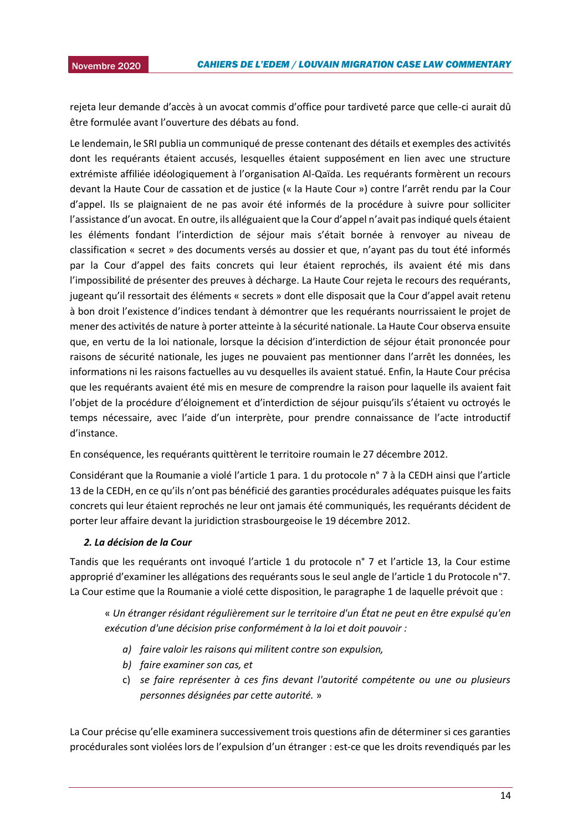2015 rejeta leur demande d'accès à un avocat commis d'office pour tardiveté parce que celle-ci aurait dû être formulée avant l'ouverture des débats au fond.

Le lendemain, le SRI publia un communiqué de presse contenant des détails et exemples des activités dont les requérants étaient accusés, lesquelles étaient supposément en lien avec une structure extrémiste affiliée idéologiquement à l'organisation Al-Qaïda. Les requérants formèrent un recours devant la Haute Cour de cassation et de justice (« la Haute Cour ») contre l'arrêt rendu par la Cour d'appel. Ils se plaignaient de ne pas avoir été informés de la procédure à suivre pour solliciter l'assistance d'un avocat. En outre, ils alléguaient que la Cour d'appel n'avait pas indiqué quels étaient les éléments fondant l'interdiction de séjour mais s'était bornée à renvoyer au niveau de classification « secret » des documents versés au dossier et que, n'ayant pas du tout été informés par la Cour d'appel des faits concrets qui leur étaient reprochés, ils avaient été mis dans l'impossibilité de présenter des preuves à décharge. La Haute Cour rejeta le recours des requérants, jugeant qu'il ressortait des éléments « secrets » dont elle disposait que la Cour d'appel avait retenu à bon droit l'existence d'indices tendant à démontrer que les requérants nourrissaient le projet de mener des activités de nature à porter atteinte à la sécurité nationale. La Haute Cour observa ensuite que, en vertu de la loi nationale, lorsque la décision d'interdiction de séjour était prononcée pour raisons de sécurité nationale, les juges ne pouvaient pas mentionner dans l'arrêt les données, les informations ni les raisons factuelles au vu desquelles ils avaient statué. Enfin, la Haute Cour précisa que les requérants avaient été mis en mesure de comprendre la raison pour laquelle ils avaient fait l'objet de la procédure d'éloignement et d'interdiction de séjour puisqu'ils s'étaient vu octroyés le temps nécessaire, avec l'aide d'un interprète, pour prendre connaissance de l'acte introductif d'instance.

En conséquence, les requérants quittèrent le territoire roumain le 27 décembre 2012.

Considérant que la Roumanie a violé l'article 1 para. 1 du protocole n° 7 à la CEDH ainsi que l'article 13 de la CEDH, en ce qu'ils n'ont pas bénéficié des garanties procédurales adéquates puisque les faits concrets qui leur étaient reprochés ne leur ont jamais été communiqués, les requérants décident de porter leur affaire devant la juridiction strasbourgeoise le 19 décembre 2012.

### *2. La décision de la Cour*

Tandis que les requérants ont invoqué l'article 1 du protocole n° 7 et l'article 13, la Cour estime approprié d'examiner les allégations des requérants sous le seul angle de l'article 1 du Protocole n°7. La Cour estime que la Roumanie a violé cette disposition, le paragraphe 1 de laquelle prévoit que :

« *Un étranger résidant régulièrement sur le territoire d'un État ne peut en être expulsé qu'en exécution d'une décision prise conformément à la loi et doit pouvoir :* 

- *a) faire valoir les raisons qui militent contre son expulsion,*
- *b) faire examiner son cas, et*
- c) *se faire représenter à ces fins devant l'autorité compétente ou une ou plusieurs personnes désignées par cette autorité.* »

La Cour précise qu'elle examinera successivement trois questions afin de déterminer si ces garanties procédurales sont violées lors de l'expulsion d'un étranger : est-ce que les droits revendiqués par les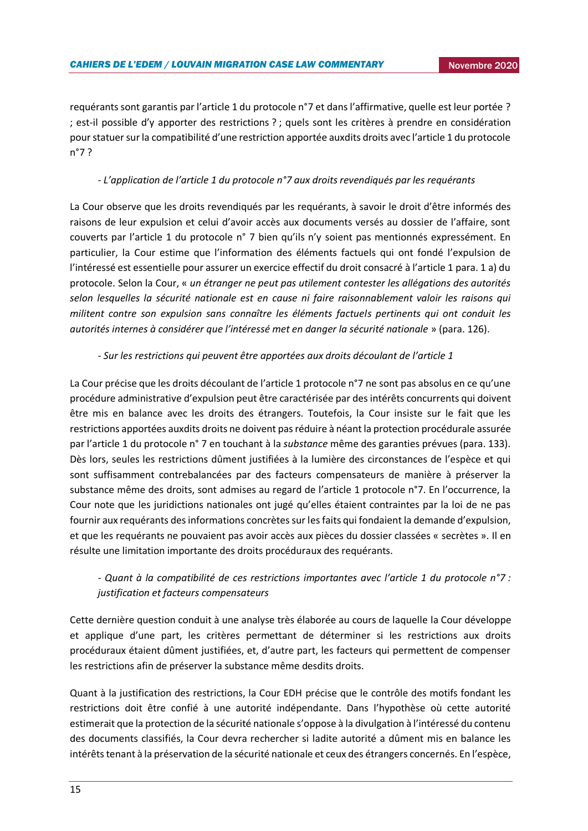requérants sont garantis par l'article 1 du protocole n°7 et dans l'affirmative, quelle est leur portée ? ; est-il possible d'y apporter des restrictions ? ; quels sont les critères à prendre en considération pour statuer sur la compatibilité d'une restriction apportée auxdits droits avec l'article 1 du protocole n°7 ?

### *- L'application de l'article 1 du protocole n°7 aux droits revendiqués par les requérants*

La Cour observe que les droits revendiqués par les requérants, à savoir le droit d'être informés des raisons de leur expulsion et celui d'avoir accès aux documents versés au dossier de l'affaire, sont couverts par l'article 1 du protocole n° 7 bien qu'ils n'y soient pas mentionnés expressément. En particulier, la Cour estime que l'information des éléments factuels qui ont fondé l'expulsion de l'intéressé est essentielle pour assurer un exercice effectif du droit consacré à l'article 1 para. 1 a) du protocole. Selon la Cour, « *un étranger ne peut pas utilement contester les allégations des autorités selon lesquelles la sécurité nationale est en cause ni faire raisonnablement valoir les raisons qui militent contre son expulsion sans connaître les éléments factuels pertinents qui ont conduit les autorités internes à considérer que l'intéressé met en danger la sécurité nationale* » (para. 126).

### *- Sur les restrictions qui peuvent être apportées aux droits découlant de l'article 1*

La Cour précise que les droits découlant de l'article 1 protocole n°7 ne sont pas absolus en ce qu'une procédure administrative d'expulsion peut être caractérisée par des intérêts concurrents qui doivent être mis en balance avec les droits des étrangers. Toutefois, la Cour insiste sur le fait que les restrictions apportées auxdits droits ne doivent pas réduire à néant la protection procédurale assurée par l'article 1 du protocole n° 7 en touchant à la *substance* même des garanties prévues (para. 133). Dès lors, seules les restrictions dûment justifiées à la lumière des circonstances de l'espèce et qui sont suffisamment contrebalancées par des facteurs compensateurs de manière à préserver la substance même des droits, sont admises au regard de l'article 1 protocole n°7. En l'occurrence, la Cour note que les juridictions nationales ont jugé qu'elles étaient contraintes par la loi de ne pas fournir aux requérants des informations concrètes sur les faits qui fondaient la demande d'expulsion, et que les requérants ne pouvaient pas avoir accès aux pièces du dossier classées « secrètes ». Il en résulte une limitation importante des droits procéduraux des requérants.

### *- Quant à la compatibilité de ces restrictions importantes avec l'article 1 du protocole n°7 : justification et facteurs compensateurs*

Cette dernière question conduit à une analyse très élaborée au cours de laquelle la Cour développe et applique d'une part, les critères permettant de déterminer si les restrictions aux droits procéduraux étaient dûment justifiées, et, d'autre part, les facteurs qui permettent de compenser les restrictions afin de préserver la substance même desdits droits.

Quant à la justification des restrictions, la Cour EDH précise que le contrôle des motifs fondant les restrictions doit être confié à une autorité indépendante. Dans l'hypothèse où cette autorité estimerait que la protection de la sécurité nationale s'oppose à la divulgation à l'intéressé du contenu des documents classifiés, la Cour devra rechercher si ladite autorité a dûment mis en balance les intérêts tenant à la préservation de la sécurité nationale et ceux des étrangers concernés. En l'espèce,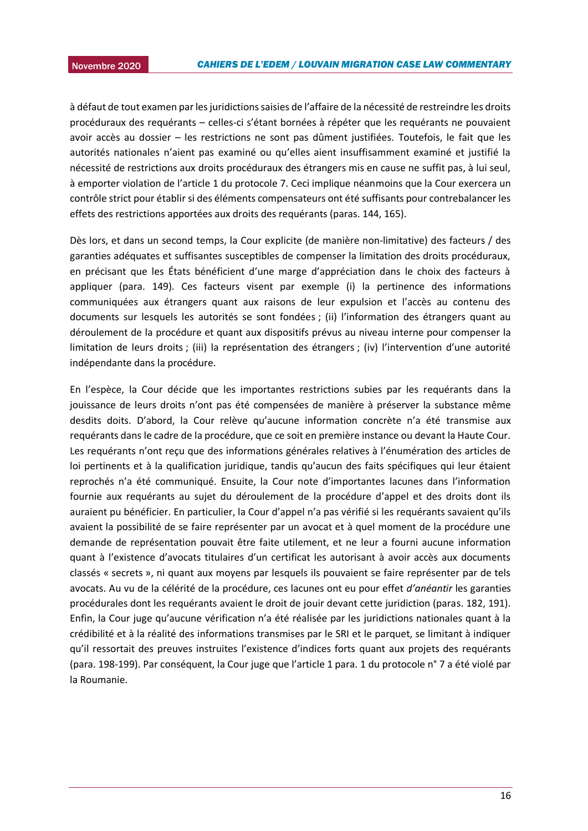à défaut de tout examen par les juridictions saisies de l'affaire de la nécessité de restreindre les droits procéduraux des requérants – celles-ci s'étant bornées à répéter que les requérants ne pouvaient avoir accès au dossier – les restrictions ne sont pas dûment justifiées. Toutefois, le fait que les autorités nationales n'aient pas examiné ou qu'elles aient insuffisamment examiné et justifié la nécessité de restrictions aux droits procéduraux des étrangers mis en cause ne suffit pas, à lui seul, à emporter violation de l'article 1 du protocole 7. Ceci implique néanmoins que la Cour exercera un contrôle strict pour établir si des éléments compensateurs ont été suffisants pour contrebalancer les effets des restrictions apportées aux droits des requérants (paras. 144, 165).

Dès lors, et dans un second temps, la Cour explicite (de manière non-limitative) des facteurs / des garanties adéquates et suffisantes susceptibles de compenser la limitation des droits procéduraux, en précisant que les États bénéficient d'une marge d'appréciation dans le choix des facteurs à appliquer (para. 149). Ces facteurs visent par exemple (i) la pertinence des informations communiquées aux étrangers quant aux raisons de leur expulsion et l'accès au contenu des documents sur lesquels les autorités se sont fondées ; (ii) l'information des étrangers quant au déroulement de la procédure et quant aux dispositifs prévus au niveau interne pour compenser la limitation de leurs droits ; (iii) la représentation des étrangers ; (iv) l'intervention d'une autorité indépendante dans la procédure.

En l'espèce, la Cour décide que les importantes restrictions subies par les requérants dans la jouissance de leurs droits n'ont pas été compensées de manière à préserver la substance même desdits doits. D'abord, la Cour relève qu'aucune information concrète n'a été transmise aux requérants dans le cadre de la procédure, que ce soit en première instance ou devant la Haute Cour. Les requérants n'ont reçu que des informations générales relatives à l'énumération des articles de loi pertinents et à la qualification juridique, tandis qu'aucun des faits spécifiques qui leur étaient reprochés n'a été communiqué. Ensuite, la Cour note d'importantes lacunes dans l'information fournie aux requérants au sujet du déroulement de la procédure d'appel et des droits dont ils auraient pu bénéficier. En particulier, la Cour d'appel n'a pas vérifié si les requérants savaient qu'ils avaient la possibilité de se faire représenter par un avocat et à quel moment de la procédure une demande de représentation pouvait être faite utilement, et ne leur a fourni aucune information quant à l'existence d'avocats titulaires d'un certificat les autorisant à avoir accès aux documents classés « secrets », ni quant aux moyens par lesquels ils pouvaient se faire représenter par de tels avocats. Au vu de la célérité de la procédure, ces lacunes ont eu pour effet *d'anéantir* les garanties procédurales dont les requérants avaient le droit de jouir devant cette juridiction (paras. 182, 191). Enfin, la Cour juge qu'aucune vérification n'a été réalisée par les juridictions nationales quant à la crédibilité et à la réalité des informations transmises par le SRI et le parquet, se limitant à indiquer qu'il ressortait des preuves instruites l'existence d'indices forts quant aux projets des requérants (para. 198-199). Par conséquent, la Cour juge que l'article 1 para. 1 du protocole n° 7 a été violé par la Roumanie.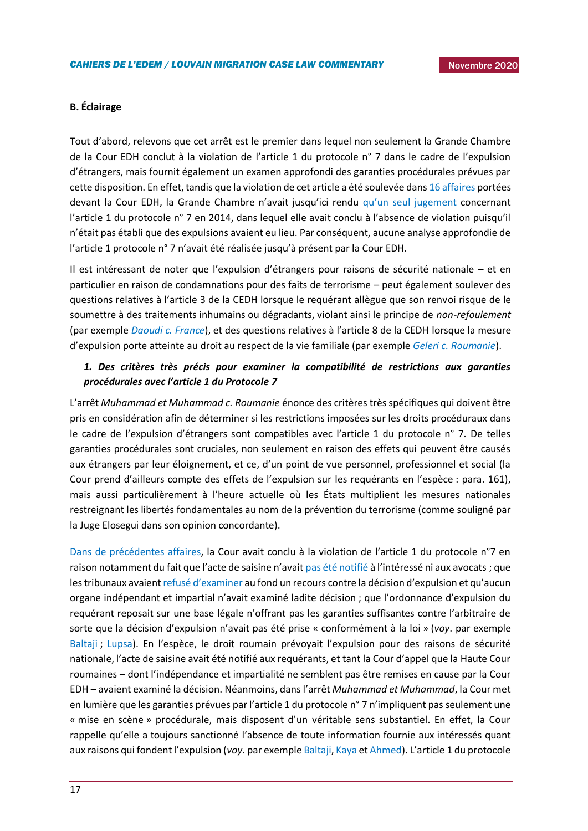### **B. Éclairage**

Tout d'abord, relevons que cet arrêt est le premier dans lequel non seulement la Grande Chambre de la Cour EDH conclut à la violation de l'article 1 du protocole n° 7 dans le cadre de l'expulsion d'étrangers, mais fournit également un examen approfondi des garanties procédurales prévues par cette disposition. En effet, tandis que la violation de cet article a été soulevée dan[s 16 affaires](https://www.echr.coe.int/Documents/Guide_Art_1_Protocol_7_FRA.pdf) portées devant la Cour EDH, la Grande Chambre n'avait jusqu'ici rendu [qu'un seul jugement](https://hudoc.echr.coe.int/eng#_Toc390872602) concernant l'article 1 du protocole n° 7 en 2014, dans lequel elle avait conclu à l'absence de violation puisqu'il n'était pas établi que des expulsions avaient eu lieu. Par conséquent, aucune analyse approfondie de l'article 1 protocole n° 7 n'avait été réalisée jusqu'à présent par la Cour EDH.

Il est intéressant de noter que l'expulsion d'étrangers pour raisons de sécurité nationale – et en particulier en raison de condamnations pour des faits de terrorisme – peut également soulever des questions relatives à l'article 3 de la CEDH lorsque le requérant allègue que son renvoi risque de le soumettre à des traitements inhumains ou dégradants, violant ainsi le principe de *non-refoulement* (par exemple *[Daoudi c. France](https://hudoc.echr.coe.int/eng?i=001-96005)*), et des questions relatives à l'article 8 de la CEDH lorsque la mesure d'expulsion porte atteinte au droit au respect de la vie familiale (par exemple *[Geleri c. Roumanie](https://hudoc.echr.coe.int/eng#{%22dmdocnumber%22:[%22881555%22],%22itemid%22:[%22001-103403%22]})*).

### *1. Des critères très précis pour examiner la compatibilité de restrictions aux garanties procédurales avec l'article 1 du Protocole 7*

L'arrêt *Muhammad et Muhammad c. Roumanie* énonce des critères très spécifiques qui doivent être pris en considération afin de déterminer si les restrictions imposées sur les droits procéduraux dans le cadre de l'expulsion d'étrangers sont compatibles avec l'article 1 du protocole n° 7. De telles garanties procédurales sont cruciales, non seulement en raison des effets qui peuvent être causés aux étrangers par leur éloignement, et ce, d'un point de vue personnel, professionnel et social (la Cour prend d'ailleurs compte des effets de l'expulsion sur les requérants en l'espèce : para. 161), mais aussi particulièrement à l'heure actuelle où les États multiplient les mesures nationales restreignant les libertés fondamentales au nom de la prévention du terrorisme (comme souligné par la Juge Elosegui dans son opinion concordante).

[Dans de précédentes affaires](https://www.echr.coe.int/Documents/Guide_Art_1_Protocol_7_FRA.pdf), la Cour avait conclu à la violation de l'article 1 du protocole n°7 en raison notamment du fait que l'acte de saisine n'avait [pas été notifié](https://hudoc.echr.coe.int/fre#{%22itemid%22:[%22001-75687%22]}) à l'intéressé ni aux avocats ; que les tribunaux avaient [refusé d'examiner](https://hudoc.echr.coe.int/fre#{%22itemid%22:[%22001-105641%22]}) au fond un recours contre la décision d'expulsion et qu'aucun organe indépendant et impartial n'avait examiné ladite décision ; que l'ordonnance d'expulsion du requérant reposait sur une base légale n'offrant pas les garanties suffisantes contre l'arbitraire de sorte que la décision d'expulsion n'avait pas été prise « conformément à la loi » (*voy*. par exemple [Baltaji](https://hudoc.echr.coe.int/fre#%7B%22itemid%22:%5B%22001-105641%22%5D%7D) ; [Lupsa](https://hudoc.echr.coe.int/fre#{%22itemid%22:[%22001-75687%22]})). En l'espèce, le droit roumain prévoyait l'expulsion pour des raisons de sécurité nationale, l'acte de saisine avait été notifié aux requérants, et tant la Cour d'appel que la Haute Cour roumaines – dont l'indépendance et impartialité ne semblent pas être remises en cause par la Cour EDH – avaient examiné la décision. Néanmoins, dans l'arrêt *Muhammad et Muhammad*, la Cour met en lumière que les garanties prévues par l'article 1 du protocole n° 7 n'impliquent pas seulement une « mise en scène » procédurale, mais disposent d'un véritable sens substantiel. En effet, la Cour rappelle qu'elle a toujours sanctionné l'absence de toute information fournie aux intéressés quant aux raisons qui fondent l'expulsion (*voy*. par exempl[e Baltaji,](https://hudoc.echr.coe.int/fre#{%22itemid%22:[%22001-105641%22]}) [Kaya](https://hudoc.echr.coe.int/eng#{%22itemid%22:[%22001-77454%22]}) et [Ahmed\)](https://hudoc.echr.coe.int/eng#{%22itemid%22:[%22001-99882%22]}). L'article 1 du protocole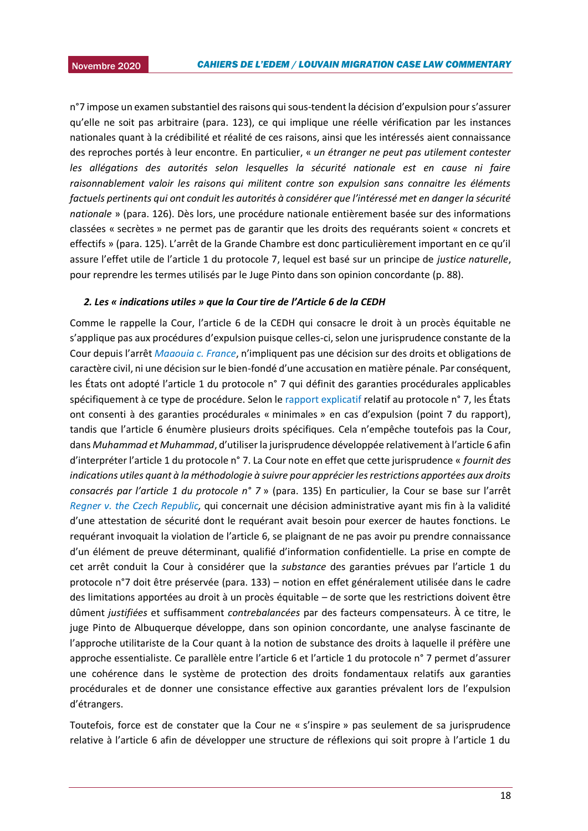n°7 impose un examen substantiel des raisons qui sous-tendent la décision d'expulsion pour s'assurer qu'elle ne soit pas arbitraire (para. 123), ce qui implique une réelle vérification par les instances nationales quant à la crédibilité et réalité de ces raisons, ainsi que les intéressés aient connaissance des reproches portés à leur encontre. En particulier, « *un étranger ne peut pas utilement contester les allégations des autorités selon lesquelles la sécurité nationale est en cause ni faire raisonnablement valoir les raisons qui militent contre son expulsion sans connaitre les éléments factuels pertinents qui ont conduit les autorités à considérer que l'intéressé met en danger la sécurité nationale* » (para. 126). Dès lors, une procédure nationale entièrement basée sur des informations classées « secrètes » ne permet pas de garantir que les droits des requérants soient « concrets et effectifs » (para. 125). L'arrêt de la Grande Chambre est donc particulièrement important en ce qu'il assure l'effet utile de l'article 1 du protocole 7, lequel est basé sur un principe de *justice naturelle*, pour reprendre les termes utilisés par le Juge Pinto dans son opinion concordante (p. 88).

#### *2. Les « indications utiles » que la Cour tire de l'Article 6 de la CEDH*

Comme le rappelle la Cour, l'article 6 de la CEDH qui consacre le droit à un procès équitable ne s'applique pas aux procédures d'expulsion puisque celles-ci, selon une jurisprudence constante de la Cour depuis l'arrêt *[Maaouia c. France](https://hudoc.echr.coe.int/fre#{%22itemid%22:[%22002-7189%22]})*, n'impliquent pas une décision sur des droits et obligations de caractère civil, ni une décision sur le bien-fondé d'une accusation en matière pénale. Par conséquent, les États ont adopté l'article 1 du protocole n° 7 qui définit des garanties procédurales applicables spécifiquement à ce type de procédure. Selon le [rapport explicatif](https://rm.coe.int/16800c972b) relatif au protocole n° 7, les États ont consenti à des garanties procédurales « minimales » en cas d'expulsion (point 7 du rapport), tandis que l'article 6 énumère plusieurs droits spécifiques. Cela n'empêche toutefois pas la Cour, dans *Muhammad et Muhammad*, d'utiliser la jurisprudence développée relativement à l'article 6 afin d'interpréter l'article 1 du protocole n° 7. La Cour note en effet que cette jurisprudence « *fournit des indications utiles quant à la méthodologie à suivre pour apprécier les restrictions apportées aux droits consacrés par l'article 1 du protocole n° 7* » (para. 135) En particulier, la Cour se base sur l'arrêt *[Regner v. the Czech Republic,](https://hudoc.echr.coe.int/eng#{%22fulltext%22:[%22regner%22],%22documentcollectionid2%22:[%22GRANDCHAMBER%22,%22CHAMBER%22],%22itemid%22:[%22001-177265%22]})* qui concernait une décision administrative ayant mis fin à la validité d'une attestation de sécurité dont le requérant avait besoin pour exercer de hautes fonctions. Le requérant invoquait la violation de l'article 6, se plaignant de ne pas avoir pu prendre connaissance d'un élément de preuve déterminant, qualifié d'information confidentielle. La prise en compte de cet arrêt conduit la Cour à considérer que la *substance* des garanties prévues par l'article 1 du protocole n°7 doit être préservée (para. 133) – notion en effet généralement utilisée dans le cadre des limitations apportées au droit à un procès équitable – de sorte que les restrictions doivent être dûment *justifiées* et suffisamment *contrebalancées* par des facteurs compensateurs. À ce titre, le juge Pinto de Albuquerque développe, dans son opinion concordante, une analyse fascinante de l'approche utilitariste de la Cour quant à la notion de substance des droits à laquelle il préfère une approche essentialiste. Ce parallèle entre l'article 6 et l'article 1 du protocole n° 7 permet d'assurer une cohérence dans le système de protection des droits fondamentaux relatifs aux garanties procédurales et de donner une consistance effective aux garanties prévalent lors de l'expulsion d'étrangers.

Toutefois, force est de constater que la Cour ne « s'inspire » pas seulement de sa jurisprudence relative à l'article 6 afin de développer une structure de réflexions qui soit propre à l'article 1 du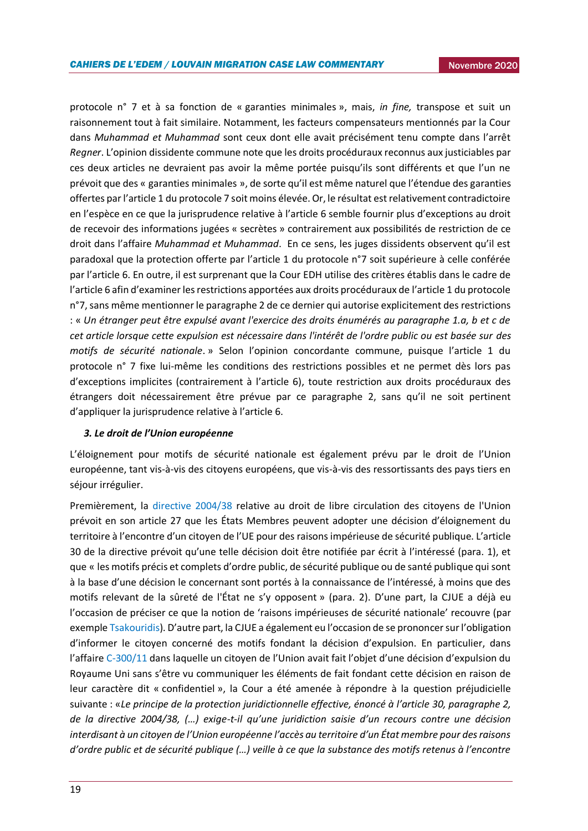protocole n° 7 et à sa fonction de « garanties minimales », mais, *in fine,* transpose et suit un raisonnement tout à fait similaire. Notamment, les facteurs compensateurs mentionnés par la Cour dans *Muhammad et Muhammad* sont ceux dont elle avait précisément tenu compte dans l'arrêt *Regner*. L'opinion dissidente commune note que les droits procéduraux reconnus aux justiciables par ces deux articles ne devraient pas avoir la même portée puisqu'ils sont différents et que l'un ne prévoit que des « garanties minimales », de sorte qu'il est même naturel que l'étendue des garanties offertes par l'article 1 du protocole 7 soit moins élevée. Or, le résultat est relativement contradictoire en l'espèce en ce que la jurisprudence relative à l'article 6 semble fournir plus d'exceptions au droit de recevoir des informations jugées « secrètes » contrairement aux possibilités de restriction de ce droit dans l'affaire *Muhammad et Muhammad*. En ce sens, les juges dissidents observent qu'il est paradoxal que la protection offerte par l'article 1 du protocole n°7 soit supérieure à celle conférée par l'article 6. En outre, il est surprenant que la Cour EDH utilise des critères établis dans le cadre de l'article 6 afin d'examiner les restrictions apportées aux droits procéduraux de l'article 1 du protocole n°7, sans même mentionner le paragraphe 2 de ce dernier qui autorise explicitement des restrictions : « *Un étranger peut être expulsé avant l'exercice des droits énumérés au paragraphe 1.a, b et c de cet article lorsque cette expulsion est nécessaire dans l'intérêt de l'ordre public ou est basée sur des motifs de sécurité nationale*. » Selon l'opinion concordante commune, puisque l'article 1 du protocole n° 7 fixe lui-même les conditions des restrictions possibles et ne permet dès lors pas d'exceptions implicites (contrairement à l'article 6), toute restriction aux droits procéduraux des étrangers doit nécessairement être prévue par ce paragraphe 2, sans qu'il ne soit pertinent d'appliquer la jurisprudence relative à l'article 6.

### *3. Le droit de l'Union européenne*

L'éloignement pour motifs de sécurité nationale est également prévu par le droit de l'Union européenne, tant vis-à-vis des citoyens européens, que vis-à-vis des ressortissants des pays tiers en séjour irrégulier.

Premièrement, la [directive 2004/38](https://eur-lex.europa.eu/legal-content/FR/TXT/PDF/?uri=CELEX:32004L0038&from=fr) relative au droit de libre circulation des citoyens de l'Union prévoit en son article 27 que les États Membres peuvent adopter une décision d'éloignement du territoire à l'encontre d'un citoyen de l'UE pour des raisons impérieuse de sécurité publique. L'article 30 de la directive prévoit qu'une telle décision doit être notifiée par écrit à l'intéressé (para. 1), et que « les motifs précis et complets d'ordre public, de sécurité publique ou de santé publique qui sont à la base d'une décision le concernant sont portés à la connaissance de l'intéressé, à moins que des motifs relevant de la sûreté de l'État ne s'y opposent » (para. 2). D'une part, la CJUE a déjà eu l'occasion de préciser ce que la notion de 'raisons impérieuses de sécurité nationale' recouvre (par exempl[e Tsakouridis](https://eur-lex.europa.eu/legal-content/FR/TXT/PDF/?uri=CELEX:62009CJ0145&from=FR)). D'autre part, la CJUE a également eu l'occasion de se prononcer sur l'obligation d'informer le citoyen concerné des motifs fondant la décision d'expulsion. En particulier, dans l'affaire [C-300/11](http://curia.europa.eu/juris/document/document.jsf?text=&docid=137981&pageIndex=0&doclang=FR&mode=lst&dir=&occ=first&part=1&cid=15674773) dans laquelle un citoyen de l'Union avait fait l'objet d'une décision d'expulsion du Royaume Uni sans s'être vu communiquer les éléments de fait fondant cette décision en raison de leur caractère dit « confidentiel », la Cour a été amenée à répondre à la question préjudicielle suivante : «*Le principe de la protection juridictionnelle effective, énoncé à l'article 30, paragraphe 2, de la directive 2004/38, (…) exige-t-il qu'une juridiction saisie d'un recours contre une décision interdisant à un citoyen de l'Union européenne l'accès au territoire d'un État membre pour des raisons d'ordre public et de sécurité publique (…) veille à ce que la substance des motifs retenus à l'encontre*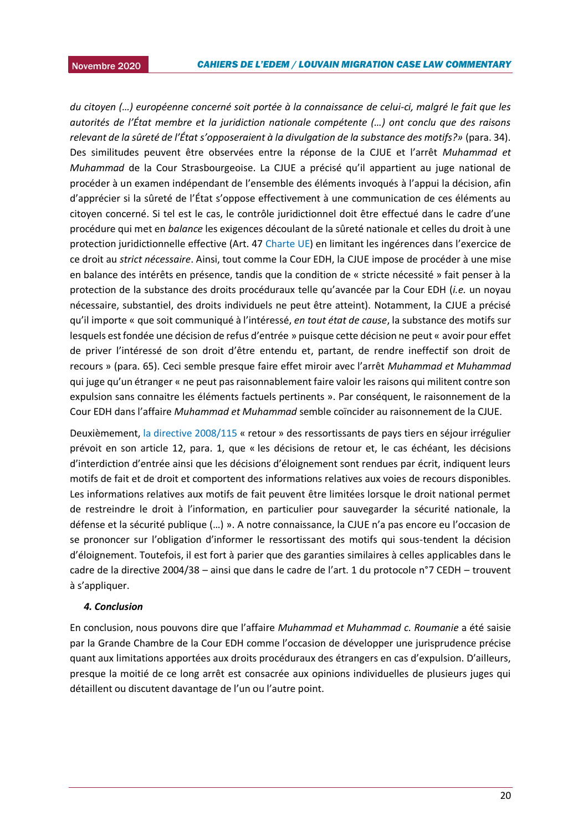2015 *du citoyen (…) européenne concerné soit portée à la connaissance de celui-ci, malgré le fait que les autorités de l'État membre et la juridiction nationale compétente (…) ont conclu que des raisons relevant de la sûreté de l'État s'opposeraient à la divulgation de la substance des motifs?»* (para. 34). Des similitudes peuvent être observées entre la réponse de la CJUE et l'arrêt *Muhammad et Muhammad* de la Cour Strasbourgeoise. La CJUE a précisé qu'il appartient au juge national de procéder à un examen indépendant de l'ensemble des éléments invoqués à l'appui la décision, afin d'apprécier si la sûreté de l'État s'oppose effectivement à une communication de ces éléments au citoyen concerné. Si tel est le cas, le contrôle juridictionnel doit être effectué dans le cadre d'une procédure qui met en *balance* les exigences découlant de la sûreté nationale et celles du droit à une protection juridictionnelle effective (Art. 47 [Charte UE\)](https://www.europarl.europa.eu/charter/pdf/text_fr.pdf) en limitant les ingérences dans l'exercice de ce droit au *strict nécessaire*. Ainsi, tout comme la Cour EDH, la CJUE impose de procéder à une mise en balance des intérêts en présence, tandis que la condition de « stricte nécessité » fait penser à la protection de la substance des droits procéduraux telle qu'avancée par la Cour EDH (*i.e.* un noyau nécessaire, substantiel, des droits individuels ne peut être atteint). Notamment, la CJUE a précisé qu'il importe « que soit communiqué à l'intéressé, *en tout état de cause*, la substance des motifs sur lesquels est fondée une décision de refus d'entrée » puisque cette décision ne peut « avoir pour effet de priver l'intéressé de son droit d'être entendu et, partant, de rendre ineffectif son droit de recours » (para. 65). Ceci semble presque faire effet miroir avec l'arrêt *Muhammad et Muhammad* qui juge qu'un étranger « ne peut pas raisonnablement faire valoir les raisons qui militent contre son expulsion sans connaitre les éléments factuels pertinents ». Par conséquent, le raisonnement de la Cour EDH dans l'affaire *Muhammad et Muhammad* semble coïncider au raisonnement de la CJUE.

Deuxièmement, [la directive 2008/115](https://eur-lex.europa.eu/legal-content/FR/TXT/PDF/?uri=CELEX:32008L0115&from=fr) « retour » des ressortissants de pays tiers en séjour irrégulier prévoit en son article 12, para. 1, que « les décisions de retour et, le cas échéant, les décisions d'interdiction d'entrée ainsi que les décisions d'éloignement sont rendues par écrit, indiquent leurs motifs de fait et de droit et comportent des informations relatives aux voies de recours disponibles. Les informations relatives aux motifs de fait peuvent être limitées lorsque le droit national permet de restreindre le droit à l'information, en particulier pour sauvegarder la sécurité nationale, la défense et la sécurité publique (…) ». A notre connaissance, la CJUE n'a pas encore eu l'occasion de se prononcer sur l'obligation d'informer le ressortissant des motifs qui sous-tendent la décision d'éloignement. Toutefois, il est fort à parier que des garanties similaires à celles applicables dans le cadre de la directive 2004/38 – ainsi que dans le cadre de l'art. 1 du protocole n°7 CEDH – trouvent à s'appliquer.

### *4. Conclusion*

En conclusion, nous pouvons dire que l'affaire *Muhammad et Muhammad c. Roumanie* a été saisie par la Grande Chambre de la Cour EDH comme l'occasion de développer une jurisprudence précise quant aux limitations apportées aux droits procéduraux des étrangers en cas d'expulsion. D'ailleurs, presque la moitié de ce long arrêt est consacrée aux opinions individuelles de plusieurs juges qui détaillent ou discutent davantage de l'un ou l'autre point.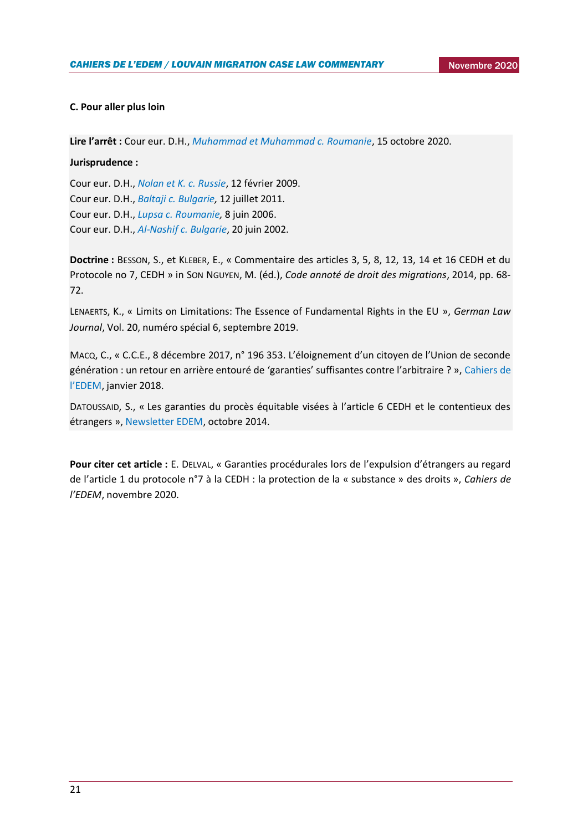### **C. Pour aller plus loin**

**Lire l'arrêt :** Cour eur. D.H., *[Muhammad et Muhammad c. Roumanie](https://hudoc.echr.coe.int/eng#{%22fulltext%22:[%2280982%22],%22documentcollectionid2%22:[%22GRANDCHAMBER%22,%22CHAMBER%22],%22itemid%22:[%22001-205510%22]})*, 15 octobre 2020.

### **Jurisprudence :**

Cour eur. D.H., *[Nolan et K. c. Russie](https://hudoc.echr.coe.int/fre#{%22itemid%22:[%22001-91302%22]})*, 12 février 2009. Cour eur. D.H., *[Baltaji c. Bulgarie,](https://hudoc.echr.coe.int/fre#{%22itemid%22:[%22001-105641%22]})* 12 juillet 2011. Cour eur. D.H., *[Lupsa c. Roumanie,](https://hudoc.echr.coe.int/fre#{%22itemid%22:[%22001-75687%22]})* 8 juin 2006. Cour eur. D.H., *[Al-Nashif c. Bulgarie](https://hudoc.echr.coe.int/eng#{%22itemid%22:[%22001-60522%22]})*, 20 juin 2002.

**Doctrine :** BESSON, S., et KLEBER, E., « Commentaire des articles 3, 5, 8, 12, 13, 14 et 16 CEDH et du Protocole no 7, CEDH » in SON NGUYEN, M. (éd.), *Code annoté de droit des migrations*, 2014, pp. 68- 72.

LENAERTS, K., « Limits on Limitations: The Essence of Fundamental Rights in the EU », *German Law Journal*, Vol. 20, numéro spécial 6, septembre 2019.

MACQ, C., « C.C.E., 8 décembre 2017, n° 196 353. L'éloignement d'un citoyen de l'Union de seconde génération : un retour en arrière entouré de 'garanties' suffisantes contre l'arbitraire ? »[, Cahiers de](https://uclouvain.be/fr/instituts-recherche/juri/cedie/actualites/c-c-e-8-decembre-2017-n-196-353.html#_ftn4)  [l'EDEM](https://uclouvain.be/fr/instituts-recherche/juri/cedie/actualites/c-c-e-8-decembre-2017-n-196-353.html#_ftn4), janvier 2018.

DATOUSSAID, S., « Les garanties du procès équitable visées à l'article 6 CEDH et le contentieux des étrangers », [Newsletter EDEM,](https://uclouvain.be/fr/instituts-recherche/juri/cedie/actualites/cour-eur-d-h-decision-d-irrecevabilite-15-avril-2014-n-autres-c-royaume-uni-req-n-16458-12.html) octobre 2014.

**Pour citer cet article :** E. DELVAL, « Garanties procédurales lors de l'expulsion d'étrangers au regard de l'article 1 du protocole n°7 à la CEDH : la protection de la « substance » des droits », *Cahiers de l'EDEM*, novembre 2020.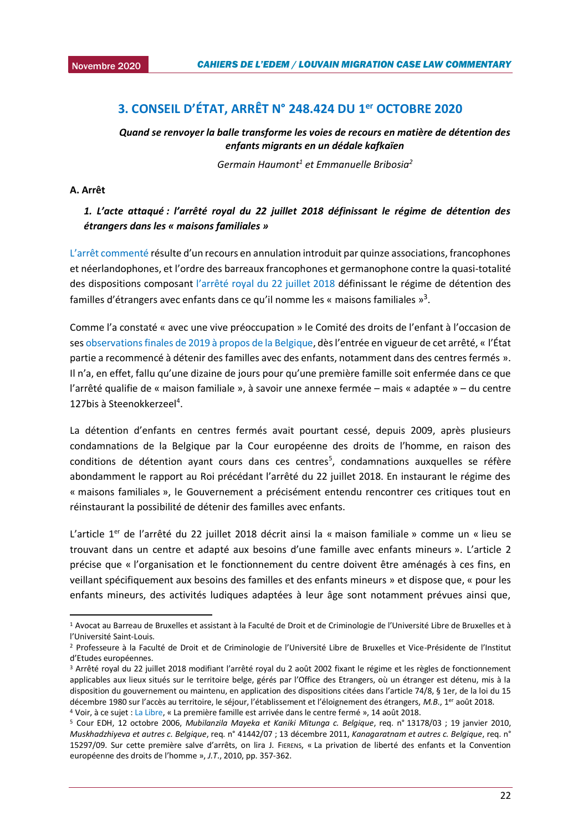### <span id="page-21-0"></span><sup>2015</sup> **3. CONSEIL D'ÉTAT, ARRÊT N° 248.424 DU 1er OCTOBRE 2020**

*Quand se renvoyer la balle transforme les voies de recours en matière de détention des enfants migrants en un dédale kafkaïen*

*Germain Haumont<sup>1</sup> et Emmanuelle Bribosia<sup>2</sup>*

### **A. Arrêt**

1

### *1. L'acte attaqué : l'arrêté royal du 22 juillet 2018 définissant le régime de détention des étrangers dans les « maisons familiales »*

L'arrêt c[ommenté](http://www.raadvst-consetat.be/Arrets/248000/400/248424.pdf#xml=http://www.raadvst-consetat.be/apps/dtsearch/getpdf.asp?DocId=37839&Index=c%3a%5csoftware%5cdtsearch%5cindex%5carrets%5ffr%5c&HitCount=2&hits=17+18+&01113442020917) résulte d'un recours en annulation introduit par quinze associations, francophones et néerlandophones, et l'ordre des barreaux francophones et germanophone contre la quasi-totalité des dispositions composant [l'arrêté royal du 22 juillet 2018](http://www.ejustice.just.fgov.be/eli/arrete/2018/07/22/2018031606/justel) définissant le régime de détention des familles d'étrangers avec enfants dans ce qu'il nomme les « maisons familiales »<sup>3</sup>.

Comme l'a constaté « avec une vive préoccupation » le Comité des droits de l'enfant à l'occasion de ses [observations finales de 2019 à propos de la Belgique](https://www.gamp.be/shared/file/droits/crc-c-bel-co-5-6-33811-e.pdf), dès l'entrée en vigueur de cet arrêté, « l'État partie a recommencé à détenir des familles avec des enfants, notamment dans des centres fermés ». Il n'a, en effet, fallu qu'une dizaine de jours pour qu'une première famille soit enfermée dans ce que l'arrêté qualifie de « maison familiale », à savoir une annexe fermée – mais « adaptée » – du centre 127bis à Steenokkerzeel<sup>4</sup>.

La détention d'enfants en centres fermés avait pourtant cessé, depuis 2009, après plusieurs condamnations de la Belgique par la Cour européenne des droits de l'homme, en raison des conditions de détention ayant cours dans ces centres<sup>5</sup>, condamnations auxquelles se réfère abondamment le rapport au Roi précédant l'arrêté du 22 juillet 2018. En instaurant le régime des « maisons familiales », le Gouvernement a précisément entendu rencontrer ces critiques tout en réinstaurant la possibilité de détenir des familles avec enfants.

L'article 1<sup>er</sup> de l'arrêté du 22 juillet 2018 décrit ainsi la « maison familiale » comme un « lieu se trouvant dans un centre et adapté aux besoins d'une famille avec enfants mineurs ». L'article 2 précise que « l'organisation et le fonctionnement du centre doivent être aménagés à ces fins, en veillant spécifiquement aux besoins des familles et des enfants mineurs » et dispose que, « pour les enfants mineurs, des activités ludiques adaptées à leur âge sont notamment prévues ainsi que,

<sup>1</sup> Avocat au Barreau de Bruxelles et assistant à la Faculté de Droit et de Criminologie de l'Université Libre de Bruxelles et à l'Université Saint-Louis.

<sup>2</sup> Professeure à la Faculté de Droit et de Criminologie de l'Université Libre de Bruxelles et Vice-Présidente de l'Institut d'Etudes européennes.

<sup>3</sup> Arrêté royal du 22 juillet 2018 modifiant l'arrêté royal du 2 août 2002 fixant le régime et les règles de fonctionnement applicables aux lieux situés sur le territoire belge, gérés par l'Office des Etrangers, où un étranger est détenu, mis à la disposition du gouvernement ou maintenu, en application des dispositions citées dans l'article 74/8, § 1er, de la loi du 15 décembre 1980 sur l'accès au territoire, le séjour, l'établissement et l'éloignement des étrangers, *M.B*., 1er août 2018. <sup>4</sup> Voir, à ce sujet [: La Libre,](https://www.lalibre.be/belgique/la-premiere-famille-est-arrivee-dans-le-nouveau-centre-ferme-5b72adec5532692548ae1b80) « La première famille est arrivée dans le centre fermé », 14 août 2018.

<sup>5</sup> Cour EDH, 12 octobre 2006, *Mubilanzila Mayeka et Kaniki Mitunga c. Belgique*, req. n° 13178/03 ; 19 janvier 2010, *Muskhadzhiyeva et autres c. Belgique*, req. n° 41442/07 ; 13 décembre 2011, *Kanagaratnam et autres c. Belgique*, req. n° 15297/09. Sur cette première salve d'arrêts, on lira J. FIERENS, « La privation de liberté des enfants et la Convention européenne des droits de l'homme », *J.T*., 2010, pp. 357-362.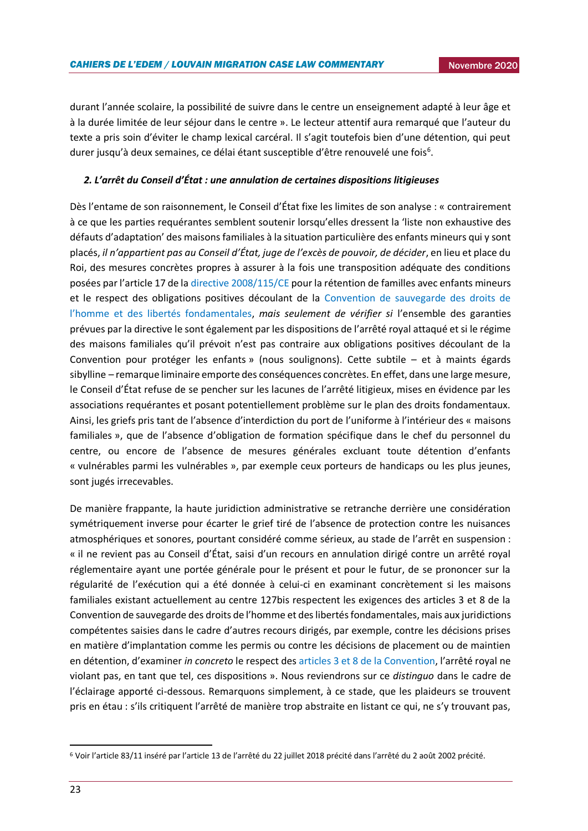durant l'année scolaire, la possibilité de suivre dans le centre un enseignement adapté à leur âge et à la durée limitée de leur séjour dans le centre ». Le lecteur attentif aura remarqué que l'auteur du texte a pris soin d'éviter le champ lexical carcéral. Il s'agit toutefois bien d'une détention, qui peut durer jusqu'à deux semaines, ce délai étant susceptible d'être renouvelé une fois<sup>6</sup>.

### *2. L'arrêt du Conseil d'État : une annulation de certaines dispositions litigieuses*

Dès l'entame de son raisonnement, le Conseil d'État fixe les limites de son analyse : « contrairement à ce que les parties requérantes semblent soutenir lorsqu'elles dressent la 'liste non exhaustive des défauts d'adaptation' des maisons familiales à la situation particulière des enfants mineurs qui y sont placés, *il n'appartient pas au Conseil d'État, juge de l'excès de pouvoir, de décider*, en lieu et place du Roi, des mesures concrètes propres à assurer à la fois une transposition adéquate des conditions posées par l'article 17 de la [directive 2008/115/CE](https://easo.europa.eu/sites/default/files/public/Return-FR.pdf) pour la rétention de familles avec enfants mineurs et le respect des obligations positives découlant de la [Convention de sauvegarde des droits de](https://www.echr.coe.int/documents/convention_fra.pdf)  [l'homme et des libertés fondamentales](https://www.echr.coe.int/documents/convention_fra.pdf), *mais seulement de vérifier si* l'ensemble des garanties prévues par la directive le sont également par les dispositions de l'arrêté royal attaqué et si le régime des maisons familiales qu'il prévoit n'est pas contraire aux obligations positives découlant de la Convention pour protéger les enfants » (nous soulignons). Cette subtile – et à maints égards sibylline – remarque liminaire emporte des conséquences concrètes. En effet, dans une large mesure, le Conseil d'État refuse de se pencher sur les lacunes de l'arrêté litigieux, mises en évidence par les associations requérantes et posant potentiellement problème sur le plan des droits fondamentaux. Ainsi, les griefs pris tant de l'absence d'interdiction du port de l'uniforme à l'intérieur des « maisons familiales », que de l'absence d'obligation de formation spécifique dans le chef du personnel du centre, ou encore de l'absence de mesures générales excluant toute détention d'enfants « vulnérables parmi les vulnérables », par exemple ceux porteurs de handicaps ou les plus jeunes, sont jugés irrecevables.

De manière frappante, la haute juridiction administrative se retranche derrière une considération symétriquement inverse pour écarter le grief tiré de l'absence de protection contre les nuisances atmosphériques et sonores, pourtant considéré comme sérieux, au stade de l'arrêt en suspension : « il ne revient pas au Conseil d'État, saisi d'un recours en annulation dirigé contre un arrêté royal réglementaire ayant une portée générale pour le présent et pour le futur, de se prononcer sur la régularité de l'exécution qui a été donnée à celui-ci en examinant concrètement si les maisons familiales existant actuellement au centre 127bis respectent les exigences des articles 3 et 8 de la Convention de sauvegarde des droits de l'homme et des libertés fondamentales, mais aux juridictions compétentes saisies dans le cadre d'autres recours dirigés, par exemple, contre les décisions prises en matière d'implantation comme les permis ou contre les décisions de placement ou de maintien en détention, d'examiner *in concreto* le respect des [articles 3 et 8 de la Convention](https://www.echr.coe.int/documents/convention_fra.pdf), l'arrêté royal ne violant pas, en tant que tel, ces dispositions ». Nous reviendrons sur ce *distinguo* dans le cadre de l'éclairage apporté ci-dessous. Remarquons simplement, à ce stade, que les plaideurs se trouvent pris en étau : s'ils critiquent l'arrêté de manière trop abstraite en listant ce qui, ne s'y trouvant pas,

**.** 

<sup>6</sup> Voir l'article 83/11 inséré par l'article 13 de l'arrêté du 22 juillet 2018 précité dans l'arrêté du 2 août 2002 précité.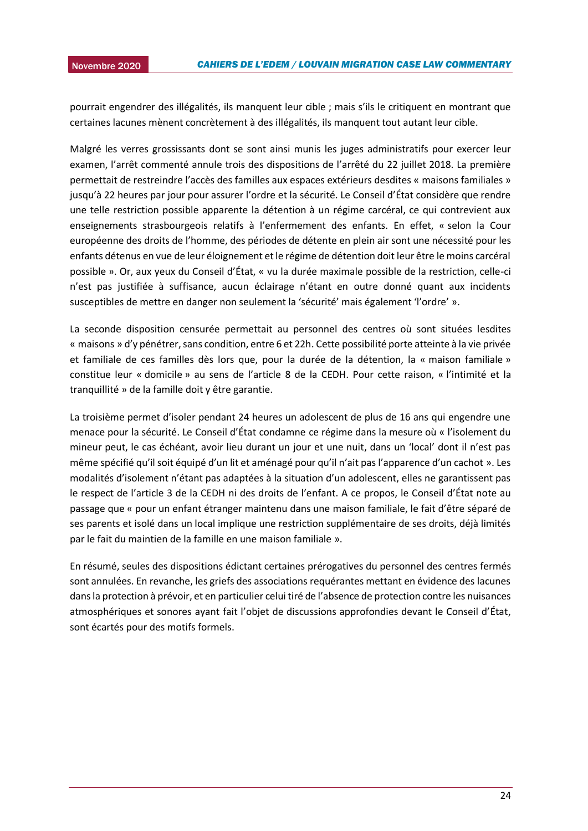pourrait engendrer des illégalités, ils manquent leur cible ; mais s'ils le critiquent en montrant que certaines lacunes mènent concrètement à des illégalités, ils manquent tout autant leur cible.

Malgré les verres grossissants dont se sont ainsi munis les juges administratifs pour exercer leur examen, l'arrêt commenté annule trois des dispositions de l'arrêté du 22 juillet 2018. La première permettait de restreindre l'accès des familles aux espaces extérieurs desdites « maisons familiales » jusqu'à 22 heures par jour pour assurer l'ordre et la sécurité. Le Conseil d'État considère que rendre une telle restriction possible apparente la détention à un régime carcéral, ce qui contrevient aux enseignements strasbourgeois relatifs à l'enfermement des enfants. En effet, « selon la Cour européenne des droits de l'homme, des périodes de détente en plein air sont une nécessité pour les enfants détenus en vue de leur éloignement et le régime de détention doit leur être le moins carcéral possible ». Or, aux yeux du Conseil d'État, « vu la durée maximale possible de la restriction, celle-ci n'est pas justifiée à suffisance, aucun éclairage n'étant en outre donné quant aux incidents susceptibles de mettre en danger non seulement la 'sécurité' mais également 'l'ordre' ».

La seconde disposition censurée permettait au personnel des centres où sont situées lesdites « maisons » d'y pénétrer, sans condition, entre 6 et 22h. Cette possibilité porte atteinte à la vie privée et familiale de ces familles dès lors que, pour la durée de la détention, la « maison familiale » constitue leur « domicile » au sens de l'article 8 de la CEDH. Pour cette raison, « l'intimité et la tranquillité » de la famille doit y être garantie.

La troisième permet d'isoler pendant 24 heures un adolescent de plus de 16 ans qui engendre une menace pour la sécurité. Le Conseil d'État condamne ce régime dans la mesure où « l'isolement du mineur peut, le cas échéant, avoir lieu durant un jour et une nuit, dans un 'local' dont il n'est pas même spécifié qu'il soit équipé d'un lit et aménagé pour qu'il n'ait pas l'apparence d'un cachot ». Les modalités d'isolement n'étant pas adaptées à la situation d'un adolescent, elles ne garantissent pas le respect de l'article 3 de la CEDH ni des droits de l'enfant. A ce propos, le Conseil d'État note au passage que « pour un enfant étranger maintenu dans une maison familiale, le fait d'être séparé de ses parents et isolé dans un local implique une restriction supplémentaire de ses droits, déjà limités par le fait du maintien de la famille en une maison familiale ».

En résumé, seules des dispositions édictant certaines prérogatives du personnel des centres fermés sont annulées. En revanche, les griefs des associations requérantes mettant en évidence des lacunes dans la protection à prévoir, et en particulier celui tiré de l'absence de protection contre les nuisances atmosphériques et sonores ayant fait l'objet de discussions approfondies devant le Conseil d'État, sont écartés pour des motifs formels.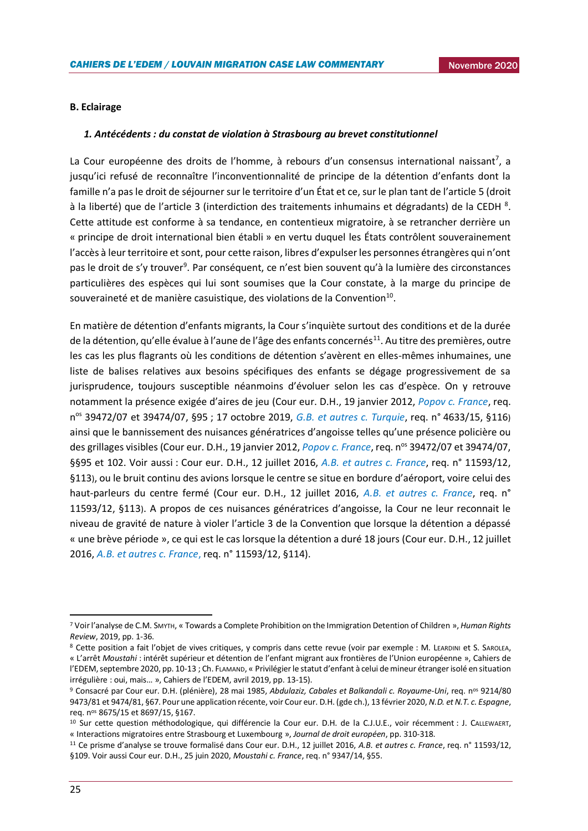### **B. Eclairage**

#### *1. Antécédents : du constat de violation à Strasbourg au brevet constitutionnel*

La Cour européenne des droits de l'homme, à rebours d'un consensus international naissant<sup>7</sup>, a jusqu'ici refusé de reconnaître l'inconventionnalité de principe de la détention d'enfants dont la famille n'a pas le droit de séjourner sur le territoire d'un État et ce, sur le plan tant de l'article 5 (droit à la liberté) que de l'article 3 (interdiction des traitements inhumains et dégradants) de la CEDH <sup>8</sup>. Cette attitude est conforme à sa tendance, en contentieux migratoire, à se retrancher derrière un « principe de droit international bien établi » en vertu duquel les États contrôlent souverainement l'accès à leur territoire et sont, pour cette raison, libres d'expulser les personnes étrangères qui n'ont pas le droit de s'y trouver<sup>9</sup>. Par conséquent, ce n'est bien souvent qu'à la lumière des circonstances particulières des espèces qui lui sont soumises que la Cour constate, à la marge du principe de souveraineté et de manière casuistique, des violations de la Convention $^{10}$ .

En matière de détention d'enfants migrants, la Cour s'inquiète surtout des conditions et de la durée de la détention, qu'elle évalue à l'aune de l'âge des enfants concernés<sup>11</sup>. Au titre des premières, outre les cas les plus flagrants où les conditions de détention s'avèrent en elles-mêmes inhumaines, une liste de balises relatives aux besoins spécifiques des enfants se dégage progressivement de sa jurisprudence, toujours susceptible néanmoins d'évoluer selon les cas d'espèce. On y retrouve notamment la présence exigée d'aires de jeu (Cour eur. D.H., 19 janvier 2012, *[Popov c. France](https://hudoc.echr.coe.int/fre#{"fulltext":["popov"],"respondent":["FRA"],"documentcollectionid2":["CHAMBER"],"itemid":["001-108708"]})*, req. n os 39472/07 et 39474/07, §95 ; 17 octobre 2019, *[G.B. et autres c. Turquie](https://hudoc.echr.coe.int/eng#{"languageisocode":["ENG"],"appno":["4633/15"],"documentcollectionid2":["CHAMBER"],"itemid":["001-196612"]})*, req. n° 4633/15, §116) ainsi que le bannissement des nuisances génératrices d'angoisse telles qu'une présence policière ou des grillages visibles (Cour eur. D.H., 19 janvier 2012, *[Popov c. France](https://hudoc.echr.coe.int/fre#{"fulltext":["popov"],"respondent":["FRA"],"documentcollectionid2":["CHAMBER"],"itemid":["001-108708"]})*, req. n<sup>os</sup> 39472/07 et 39474/07, §§95 et 102. Voir aussi : Cour eur. D.H., 12 juillet 2016, *[A.B. et autres](https://www.refworld.org/pdfid/5784e34e4.pdf) c. France*, req. n° 11593/12, §113), ou le bruit continu des avions lorsque le centre se situe en bordure d'aéroport, voire celui des haut-parleurs du centre fermé (Cour eur. D.H., 12 juillet 2016, *[A.B. et autres c. France](https://www.refworld.org/pdfid/5784e34e4.pdf)*, req. n° 11593/12, §113). A propos de ces nuisances génératrices d'angoisse, la Cour ne leur reconnait le niveau de gravité de nature à violer l'article 3 de la Convention que lorsque la détention a dépassé « une brève période », ce qui est le cas lorsque la détention a duré 18 jours (Cour eur. D.H., 12 juillet 2016, *[A.B. et autres c. France](https://www.refworld.org/pdfid/5784e34e4.pdf)*, req. n° 11593/12, §114).

<sup>7</sup> Voir l'analyse de C.M. SMYTH, « Towards a Complete Prohibition on the Immigration Detention of Children », *Human Rights Review*, 2019, pp. 1-36.

<sup>8</sup> Cette position a fait l'objet de vives critiques, y compris dans cette revue (voir par exemple : M. LEARDINI et S. SAROLEA, « L'arrêt *Moustahi* : intérêt supérieur et détention de l'enfant migrant aux frontières de l'Union européenne », Cahiers de l'EDEM, septembre 2020, pp. 10-13 ; Ch. FLAMAND, « Privilégier le statut d'enfant à celui de mineur étranger isolé en situation irrégulière : oui, mais… », Cahiers de l'EDEM, avril 2019, pp. 13-15).

<sup>9</sup> Consacré par Cour eur. D.H. (plénière), 28 mai 1985, *Abdulaziz, Cabales et Balkandali c. Royaume-Uni*, req. nos 9214/80 9473/81 et 9474/81, §67. Pour une application récente, voir Cour eur. D.H. (gde ch.), 13 février 2020, *N.D. et N.T. c. Espagne*, req. nos 8675/15 et 8697/15, §167.

<sup>&</sup>lt;sup>10</sup> Sur cette question méthodologique, qui différencie la Cour eur. D.H. de la C.J.U.E., voir récemment : J. CALLEWAERT, « Interactions migratoires entre Strasbourg et Luxembourg », *Journal de droit européen*, pp. 310-318.

<sup>11</sup> Ce prisme d'analyse se trouve formalisé dans Cour eur. D.H., 12 juillet 2016, *A.B. et autres c. France*, req. n° 11593/12, §109. Voir aussi Cour eur. D.H., 25 juin 2020, *Moustahi c. France*, req. n° 9347/14, §55.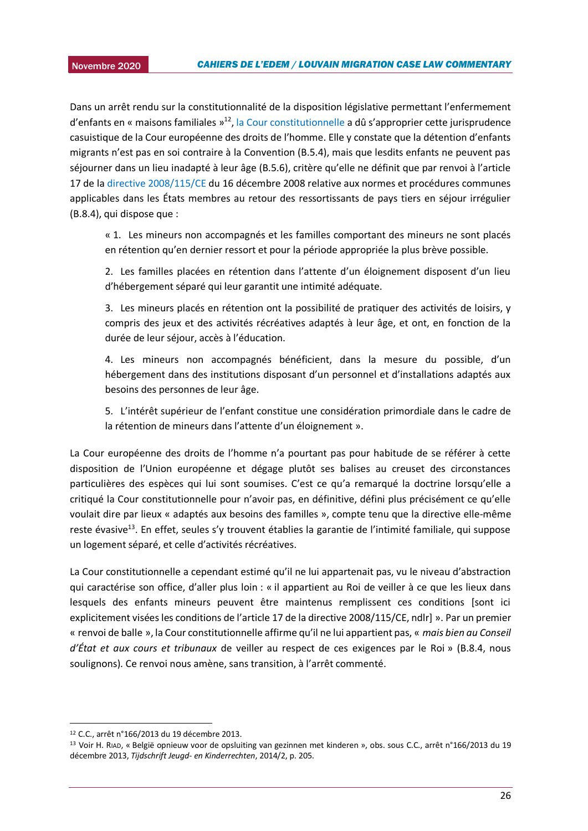Dans un arrêt rendu sur la constitutionnalité de la disposition législative permettant l'enfermement d'enfants en « maisons familiales »<sup>12</sup>[, la Cour constitutionnelle](https://www.const-court.be/public/f/2013/2013-166f.pdf) a dû s'approprier cette jurisprudence casuistique de la Cour européenne des droits de l'homme. Elle y constate que la détention d'enfants migrants n'est pas en soi contraire à la Convention (B.5.4), mais que lesdits enfants ne peuvent pas séjourner dans un lieu inadapté à leur âge (B.5.6), critère qu'elle ne définit que par renvoi à l'article 17 de l[a directive 2008/115/CE](https://eur-lex.europa.eu/legal-content/FR/TXT/?uri=CELEX:32008L0115) du 16 décembre 2008 relative aux normes et procédures communes applicables dans les États membres au retour des ressortissants de pays tiers en séjour irrégulier (B.8.4), qui dispose que :

« 1. Les mineurs non accompagnés et les familles comportant des mineurs ne sont placés en rétention qu'en dernier ressort et pour la période appropriée la plus brève possible.

2. Les familles placées en rétention dans l'attente d'un éloignement disposent d'un lieu d'hébergement séparé qui leur garantit une intimité adéquate.

3. Les mineurs placés en rétention ont la possibilité de pratiquer des activités de loisirs, y compris des jeux et des activités récréatives adaptés à leur âge, et ont, en fonction de la durée de leur séjour, accès à l'éducation.

4. Les mineurs non accompagnés bénéficient, dans la mesure du possible, d'un hébergement dans des institutions disposant d'un personnel et d'installations adaptés aux besoins des personnes de leur âge.

5. L'intérêt supérieur de l'enfant constitue une considération primordiale dans le cadre de la rétention de mineurs dans l'attente d'un éloignement ».

La Cour européenne des droits de l'homme n'a pourtant pas pour habitude de se référer à cette disposition de l'Union européenne et dégage plutôt ses balises au creuset des circonstances particulières des espèces qui lui sont soumises. C'est ce qu'a remarqué la doctrine lorsqu'elle a critiqué la Cour constitutionnelle pour n'avoir pas, en définitive, défini plus précisément ce qu'elle voulait dire par lieux « adaptés aux besoins des familles », compte tenu que la directive elle-même reste évasive<sup>13</sup>. En effet, seules s'y trouvent établies la garantie de l'intimité familiale, qui suppose un logement séparé, et celle d'activités récréatives.

La Cour constitutionnelle a cependant estimé qu'il ne lui appartenait pas, vu le niveau d'abstraction qui caractérise son office, d'aller plus loin : « il appartient au Roi de veiller à ce que les lieux dans lesquels des enfants mineurs peuvent être maintenus remplissent ces conditions [sont ici explicitement visées les conditions de l'article 17 de la directive 2008/115/CE, ndlr] ». Par un premier « renvoi de balle », la Cour constitutionnelle affirme qu'il ne lui appartient pas, « *mais bien au Conseil d'État et aux cours et tribunaux* de veiller au respect de ces exigences par le Roi » (B.8.4, nous soulignons). Ce renvoi nous amène, sans transition, à l'arrêt commenté.

**.** 

<sup>12</sup> C.C., arrêt n°166/2013 du 19 décembre 2013.

<sup>13</sup> Voir H. RIAD, « België opnieuw voor de opsluiting van gezinnen met kinderen », obs. sous C.C., arrêt n°166/2013 du 19 décembre 2013, *Tijdschrift Jeugd- en Kinderrechten*, 2014/2, p. 205.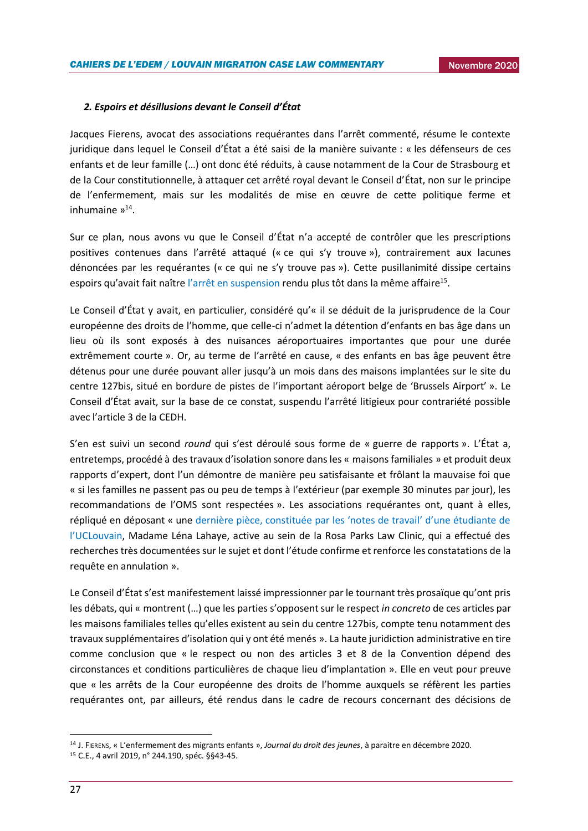### *2. Espoirs et désillusions devant le Conseil d'État*

Jacques Fierens, avocat des associations requérantes dans l'arrêt commenté, résume le contexte juridique dans lequel le Conseil d'État a été saisi de la manière suivante : « les défenseurs de ces enfants et de leur famille (…) ont donc été réduits, à cause notamment de la Cour de Strasbourg et de la Cour constitutionnelle, à attaquer cet arrêté royal devant le Conseil d'État, non sur le principe de l'enfermement, mais sur les modalités de mise en œuvre de cette politique ferme et inhumaine »<sup>14</sup>.

Sur ce plan, nous avons vu que le Conseil d'État n'a accepté de contrôler que les prescriptions positives contenues dans l'arrêté attaqué (« ce qui s'y trouve »), contrairement aux lacunes dénoncées par les requérantes (« ce qui ne s'y trouve pas »). Cette pusillanimité dissipe certains espoirs qu'avait fait naître [l'arrêt en suspension](http://www.raadvst-consetat.be/Arrets/244000/100/244190.pdf#xml=http://www.raadvst-consetat.be/apps/dtsearch/getpdf.asp?DocId=35550&Index=c%3a%5csoftware%5cdtsearch%5cindex%5carrets%5ffr%5c&HitCount=2&hits=20+21+&11150492020917) rendu plus tôt dans la même affaire<sup>15</sup>.

Le Conseil d'État y avait, en particulier, considéré qu'« il se déduit de la jurisprudence de la Cour européenne des droits de l'homme, que celle-ci n'admet la détention d'enfants en bas âge dans un lieu où ils sont exposés à des nuisances aéroportuaires importantes que pour une durée extrêmement courte ». Or, au terme de l'arrêté en cause, « des enfants en bas âge peuvent être détenus pour une durée pouvant aller jusqu'à un mois dans des maisons implantées sur le site du centre 127bis, situé en bordure de pistes de l'important aéroport belge de 'Brussels Airport' ». Le Conseil d'État avait, sur la base de ce constat, suspendu l'arrêté litigieux pour contrariété possible avec l'article 3 de la CEDH.

S'en est suivi un second *round* qui s'est déroulé sous forme de « guerre de rapports ». L'État a, entretemps, procédé à des travaux d'isolation sonore dans les « maisons familiales » et produit deux rapports d'expert, dont l'un démontre de manière peu satisfaisante et frôlant la mauvaise foi que « si les familles ne passent pas ou peu de temps à l'extérieur (par exemple 30 minutes par jour), les recommandations de l'OMS sont respectées ». Les associations requérantes ont, quant à elles, répliqué en déposant « une dern[ière pièce, constituée par les 'notes de travail' d'une étudiante de](http://www.raadvst-consetat.be/arr.php?nr=248424)  [l'UCLouvain](http://www.raadvst-consetat.be/arr.php?nr=248424), Madame Léna Lahaye, active au sein de la Rosa Parks Law Clinic, qui a effectué des recherches très documentées sur le sujet et dont l'étude confirme et renforce les constatations de la requête en annulation ».

Le Conseil d'État s'est manifestement laissé impressionner par le tournant très prosaïque qu'ont pris les débats, qui « montrent (…) que les parties s'opposent sur le respect *in concreto* de ces articles par les maisons familiales telles qu'elles existent au sein du centre 127bis, compte tenu notamment des travaux supplémentaires d'isolation qui y ont été menés ». La haute juridiction administrative en tire comme conclusion que « le respect ou non des articles 3 et 8 de la Convention dépend des circonstances et conditions particulières de chaque lieu d'implantation ». Elle en veut pour preuve que « les arrêts de la Cour européenne des droits de l'homme auxquels se réfèrent les parties requérantes ont, par ailleurs, été rendus dans le cadre de recours concernant des décisions de

<sup>14</sup> J. FIERENS, « L'enfermement des migrants enfants », *Journal du droit des jeunes*, à paraitre en décembre 2020.

<sup>15</sup> C.E., 4 avril 2019, n° 244.190, spéc. §§43-45.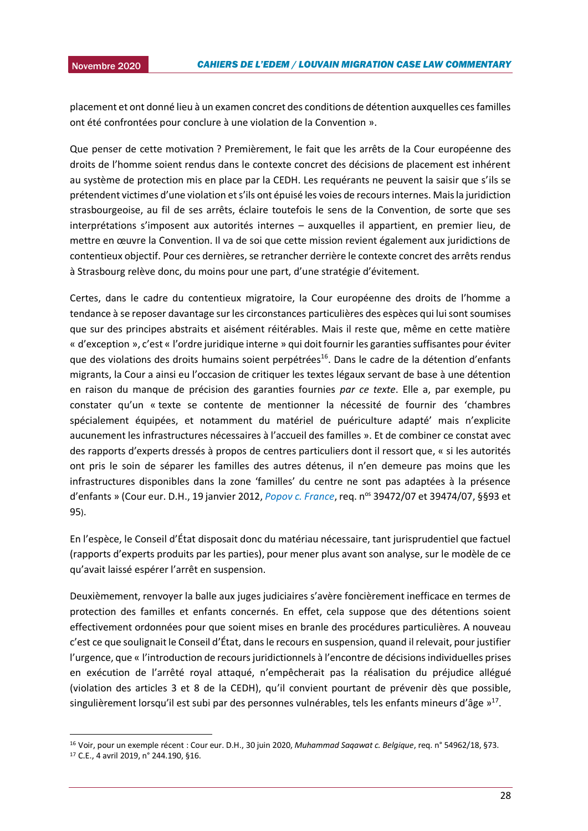2015 placement et ont donné lieu à un examen concret des conditions de détention auxquelles ces familles ont été confrontées pour conclure à une violation de la Convention ».

Que penser de cette motivation ? Premièrement, le fait que les arrêts de la Cour européenne des droits de l'homme soient rendus dans le contexte concret des décisions de placement est inhérent au système de protection mis en place par la CEDH. Les requérants ne peuvent la saisir que s'ils se prétendent victimes d'une violation et s'ils ont épuisé les voies de recours internes. Mais la juridiction strasbourgeoise, au fil de ses arrêts, éclaire toutefois le sens de la Convention, de sorte que ses interprétations s'imposent aux autorités internes – auxquelles il appartient, en premier lieu, de mettre en œuvre la Convention. Il va de soi que cette mission revient également aux juridictions de contentieux objectif. Pour ces dernières, se retrancher derrière le contexte concret des arrêts rendus à Strasbourg relève donc, du moins pour une part, d'une stratégie d'évitement.

Certes, dans le cadre du contentieux migratoire, la Cour européenne des droits de l'homme a tendance à se reposer davantage sur les circonstances particulières des espèces qui lui sont soumises que sur des principes abstraits et aisément réitérables. Mais il reste que, même en cette matière « d'exception », c'est « l'ordre juridique interne » qui doit fournir les garanties suffisantes pour éviter que des violations des droits humains soient perpétrées<sup>16</sup>. Dans le cadre de la détention d'enfants migrants, la Cour a ainsi eu l'occasion de critiquer les textes légaux servant de base à une détention en raison du manque de précision des garanties fournies *par ce texte*. Elle a, par exemple, pu constater qu'un « texte se contente de mentionner la nécessité de fournir des 'chambres spécialement équipées, et notamment du matériel de puériculture adapté' mais n'explicite aucunement les infrastructures nécessaires à l'accueil des familles ». Et de combiner ce constat avec des rapports d'experts dressés à propos de centres particuliers dont il ressort que, « si les autorités ont pris le soin de séparer les familles des autres détenus, il n'en demeure pas moins que les infrastructures disponibles dans la zone 'familles' du centre ne sont pas adaptées à la présence d'enfants » (Cour eur. D.H., 19 janvier 2012, *[Popov c. France](https://hudoc.echr.coe.int/fre#{"fulltext":["popov"],"respondent":["FRA"],"documentcollectionid2":["CHAMBER"],"itemid":["001-108708"]})*, req. n<sup>os</sup> 39472/07 et 39474/07, §§93 et 95).

En l'espèce, le Conseil d'État disposait donc du matériau nécessaire, tant jurisprudentiel que factuel (rapports d'experts produits par les parties), pour mener plus avant son analyse, sur le modèle de ce qu'avait laissé espérer l'arrêt en suspension.

Deuxièmement, renvoyer la balle aux juges judiciaires s'avère foncièrement inefficace en termes de protection des familles et enfants concernés. En effet, cela suppose que des détentions soient effectivement ordonnées pour que soient mises en branle des procédures particulières. A nouveau c'est ce que soulignait le Conseil d'État, dans le recours en suspension, quand il relevait, pour justifier l'urgence, que « l'introduction de recours juridictionnels à l'encontre de décisions individuelles prises en exécution de l'arrêté royal attaqué, n'empêcherait pas la réalisation du préjudice allégué (violation des articles 3 et 8 de la CEDH), qu'il convient pourtant de prévenir dès que possible, singulièrement lorsqu'il est subi par des personnes vulnérables, tels les enfants mineurs d'âge »<sup>17</sup>.

<sup>16</sup> Voir, pour un exemple récent : Cour eur. D.H., 30 juin 2020, *Muhammad Saqawat c. Belgique*, req. n° 54962/18, §73.

<sup>17</sup> C.E., 4 avril 2019, n° 244.190, §16.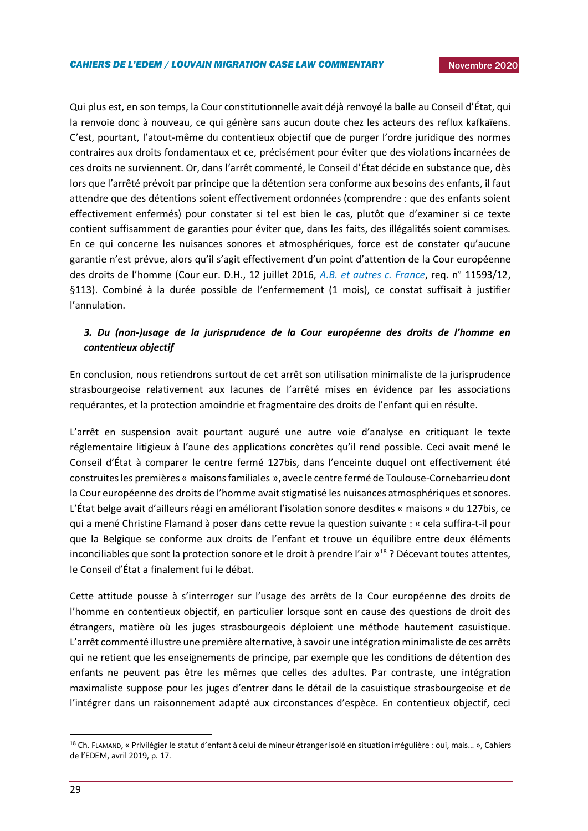Qui plus est, en son temps, la Cour constitutionnelle avait déjà renvoyé la balle au Conseil d'État, qui la renvoie donc à nouveau, ce qui génère sans aucun doute chez les acteurs des reflux kafkaïens. C'est, pourtant, l'atout-même du contentieux objectif que de purger l'ordre juridique des normes contraires aux droits fondamentaux et ce, précisément pour éviter que des violations incarnées de ces droits ne surviennent. Or, dans l'arrêt commenté, le Conseil d'État décide en substance que, dès lors que l'arrêté prévoit par principe que la détention sera conforme aux besoins des enfants, il faut attendre que des détentions soient effectivement ordonnées (comprendre : que des enfants soient effectivement enfermés) pour constater si tel est bien le cas, plutôt que d'examiner si ce texte contient suffisamment de garanties pour éviter que, dans les faits, des illégalités soient commises. En ce qui concerne les nuisances sonores et atmosphériques, force est de constater qu'aucune garantie n'est prévue, alors qu'il s'agit effectivement d'un point d'attention de la Cour européenne des droits de l'homme (Cour eur. D.H., 12 juillet 2016, *[A.B. et autres c. France](https://www.refworld.org/pdfid/5784e34e4.pdf)*, req. n° 11593/12, §113). Combiné à la durée possible de l'enfermement (1 mois), ce constat suffisait à justifier l'annulation.

### *3. Du (non-)usage de la jurisprudence de la Cour européenne des droits de l'homme en contentieux objectif*

En conclusion, nous retiendrons surtout de cet arrêt son utilisation minimaliste de la jurisprudence strasbourgeoise relativement aux lacunes de l'arrêté mises en évidence par les associations requérantes, et la protection amoindrie et fragmentaire des droits de l'enfant qui en résulte.

L'arrêt en suspension avait pourtant auguré une autre voie d'analyse en critiquant le texte réglementaire litigieux à l'aune des applications concrètes qu'il rend possible. Ceci avait mené le Conseil d'État à comparer le centre fermé 127bis, dans l'enceinte duquel ont effectivement été construites les premières « maisons familiales », avec le centre fermé de Toulouse-Cornebarrieu dont la Cour européenne des droits de l'homme avait stigmatisé les nuisances atmosphériques et sonores. L'État belge avait d'ailleurs réagi en améliorant l'isolation sonore desdites « maisons » du 127bis, ce qui a mené Christine Flamand à poser dans cette revue la question suivante : « cela suffira-t-il pour que la Belgique se conforme aux droits de l'enfant et trouve un équilibre entre deux éléments inconciliables que sont la protection sonore et le droit à prendre l'air » <sup>18</sup> ? Décevant toutes attentes, le Conseil d'État a finalement fui le débat.

Cette attitude pousse à s'interroger sur l'usage des arrêts de la Cour européenne des droits de l'homme en contentieux objectif, en particulier lorsque sont en cause des questions de droit des étrangers, matière où les juges strasbourgeois déploient une méthode hautement casuistique. L'arrêt commenté illustre une première alternative, à savoir une intégration minimaliste de ces arrêts qui ne retient que les enseignements de principe, par exemple que les conditions de détention des enfants ne peuvent pas être les mêmes que celles des adultes. Par contraste, une intégration maximaliste suppose pour les juges d'entrer dans le détail de la casuistique strasbourgeoise et de l'intégrer dans un raisonnement adapté aux circonstances d'espèce. En contentieux objectif, ceci

<sup>18</sup> Ch. FLAMAND, « Privilégier le statut d'enfant à celui de mineur étranger isolé en situation irrégulière : oui, mais… », Cahiers de l'EDEM, avril 2019, p. 17.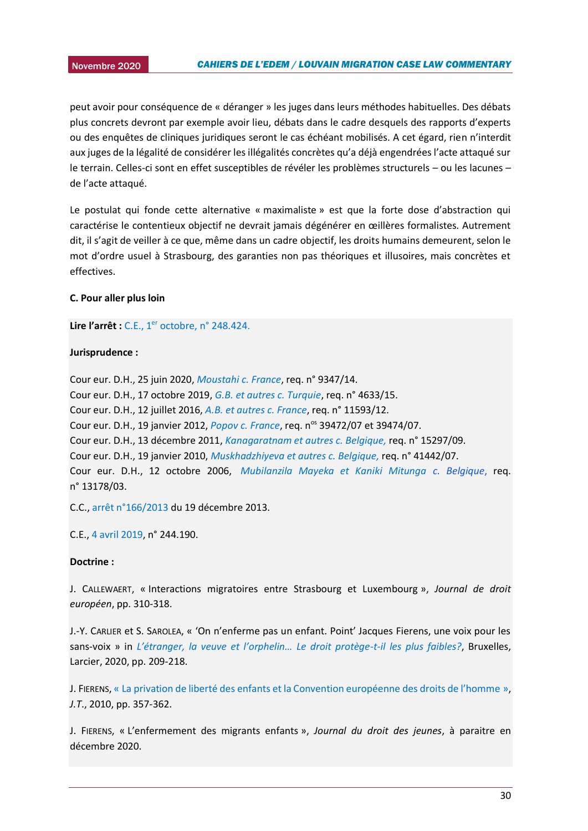2015 peut avoir pour conséquence de « déranger » les juges dans leurs méthodes habituelles. Des débats plus concrets devront par exemple avoir lieu, débats dans le cadre desquels des rapports d'experts ou des enquêtes de cliniques juridiques seront le cas échéant mobilisés. A cet égard, rien n'interdit aux juges de la légalité de considérer les illégalités concrètes qu'a déjà engendrées l'acte attaqué sur le terrain. Celles-ci sont en effet susceptibles de révéler les problèmes structurels – ou les lacunes – de l'acte attaqué.

Le postulat qui fonde cette alternative « maximaliste » est que la forte dose d'abstraction qui caractérise le contentieux objectif ne devrait jamais dégénérer en œillères formalistes. Autrement dit, il s'agit de veiller à ce que, même dans un cadre objectif, les droits humains demeurent, selon le mot d'ordre usuel à Strasbourg, des garanties non pas théoriques et illusoires, mais concrètes et effectives.

### **C. Pour aller plus loin**

**Lire l'arrêt :** C.E., 1<sup>er</sup> [octobre, n° 248.424.](http://www.raadvst-consetat.be/Arrets/248000/400/248424.pdf#xml=http://www.raadvst-consetat.be/apps/dtsearch/getpdf.asp?DocId=37839&Index=c%3a%5csoftware%5cdtsearch%5cindex%5carrets%5ffr%5c&HitCount=2&hits=17+18+&01113442020917)

### **Jurisprudence :**

Cour eur. D.H., 25 juin 2020, *[Moustahi c. France](https://hudoc.echr.coe.int/fre#%7B%22itemid%22:%5B%22001-203163%22%5D%7D)*, req. n° 9347/14. Cour eur. D.H., 17 octobre 2019, *[G.B. et autres c. Turquie](https://hudoc.echr.coe.int/eng#{"languageisocode":["ENG"],"appno":["4633/15"],"documentcollectionid2":["CHAMBER"],"itemid":["001-196612"]})*, req. n° 4633/15. Cour eur. D.H., 12 juillet 2016, *[A.B. et autres c. France](https://www.refworld.org/pdfid/5784e34e4.pdf)*, req. n° 11593/12. Cour eur. D.H., 19 janvier 2012, *[Popov c. France](https://hudoc.echr.coe.int/fre#{"fulltext":["popov"],"respondent":["FRA"],"documentcollectionid2":["CHAMBER"],"itemid":["001-108708"]})*, req. n<sup>os</sup> 39472/07 et 39474/07. Cour eur. D.H., 13 décembre 2011, *[Kanagaratnam et autres c. Belgique,](https://hudoc.echr.coe.int/eng#%7B%22itemid%22:%5B%22001-107895%22%5D%7D)* req. n° 15297/09. Cour eur. D.H., 19 janvier 2010, *[Muskhadzhiyeva et autres c. Belgique,](https://hudoc.echr.coe.int/eng#%7B%22dmdocnumber%22:%5B%22861160%22%5D,%22itemid%22:%5B%22001-96774%22%5D%7D)* req. n° 41442/07. Cour eur. D.H., 12 octobre 2006, *[Mubilanzila Mayeka et Kaniki Mitunga](https://hudoc.echr.coe.int/eng#%7B%22itemid%22:%5B%22001-77447%22%5D%7D) c. Belgique*[,](https://hudoc.echr.coe.int/eng#%7B%22itemid%22:%5B%22001-77447%22%5D%7D) req. n° 13178/03.

C.C.[, arrêt n°166/2013](https://www.const-court.be/public/f/2013/2013-166f.pdf) du 19 décembre 2013.

C.E., [4 avril 2019,](http://www.raadvst-consetat.be/Arrets/244000/100/244190.pdf#xml=http://www.raadvst-consetat.be/apps/dtsearch/getpdf.asp?DocId=35550&Index=c%3a%5csoftware%5cdtsearch%5cindex%5carrets%5ffr%5c&HitCount=2&hits=20+21+&11150492020917) n° 244.190.

### **Doctrine :**

J. CALLEWAERT, « Interactions migratoires entre Strasbourg et Luxembourg », *Journal de droit européen*, pp. 310-318.

J.-Y. CARLIER et S. SAROLEA, « 'On n'enferme pas un enfant. Point' Jacques Fierens, une voix pour les sans-voix » in *[L'étranger, la veuve et l'orphelin… Le droit protège](https://www.larcier.com/fr/l-etranger-la-veuve-et-l-orphelin-le-droit-protege-t-il-les-plus-faibles-2020-9782807918825.html)-t-il les plus faibles?*, Bruxelles, Larcier, 2020, pp. 209-218.

J. FIERENS, « La [privation de liberté des enfants et la Convention européenne des droits de l'homme](https://orbi.uliege.be/bitstream/2268/200636/1/La%20privation%20de%20liberté%20des%20enfants.pdf) », *J.T*., 2010, pp. 357-362.

J. FIERENS, « L'enfermement des migrants enfants », *Journal du droit des jeunes*, à paraitre en décembre 2020.